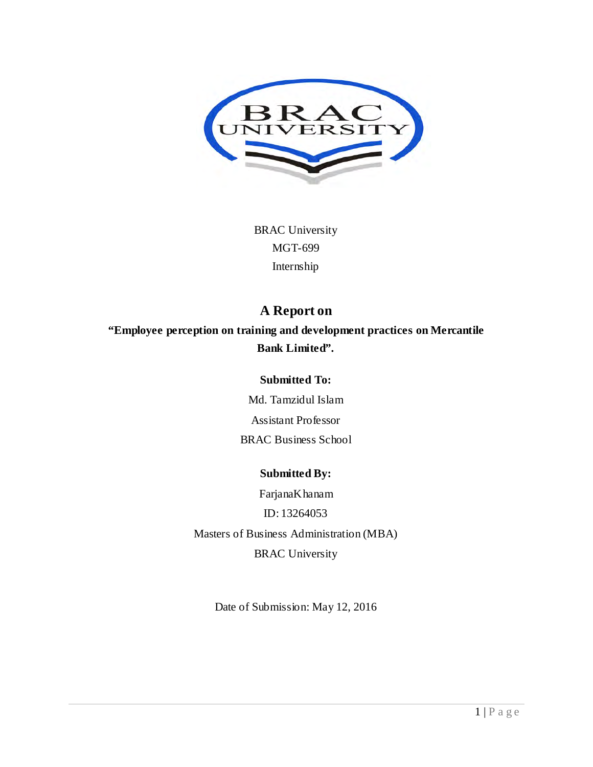

BRAC University MGT-699 Internship

# **A Report on**

**"Employee perception on training and development practices on Mercantile Bank Limited".**

#### **Submitted To:**

Md. Tamzidul Islam Assistant Professor BRAC Business School

## **Submitted By:**

FarjanaKhanam ID: 13264053 Masters of Business Administration (MBA) BRAC University

Date of Submission: May 12, 2016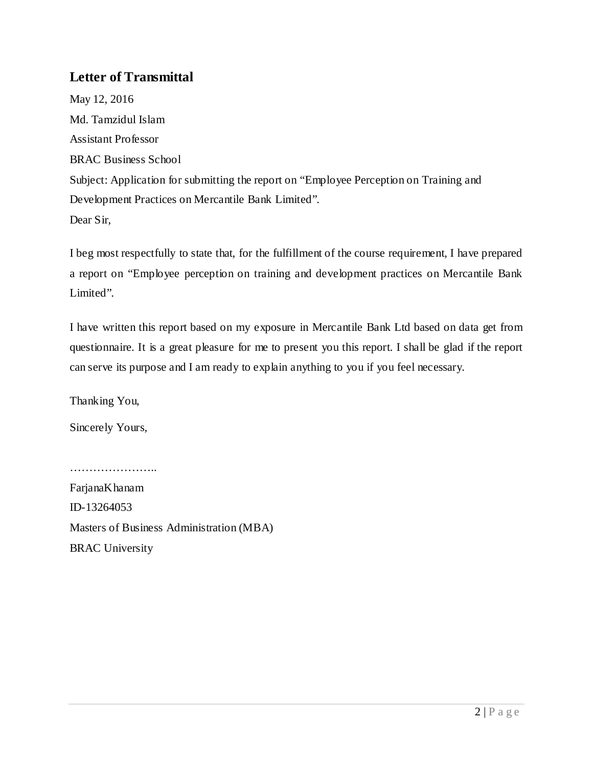## **Letter of Transmittal**

May 12, 2016 Md. Tamzidul Islam Assistant Professor BRAC Business School Subject: Application for submitting the report on "Employee Perception on Training and Development Practices on Mercantile Bank Limited". Dear Sir,

I beg most respectfully to state that, for the fulfillment of the course requirement, I have prepared a report on "Employee perception on training and development practices on Mercantile Bank Limited".

I have written this report based on my exposure in Mercantile Bank Ltd based on data get from questionnaire. It is a great pleasure for me to present you this report. I shall be glad if the report can serve its purpose and I am ready to explain anything to you if you feel necessary.

Thanking You,

Sincerely Yours,

…………………..

FarjanaKhanam ID-13264053 Masters of Business Administration (MBA) BRAC University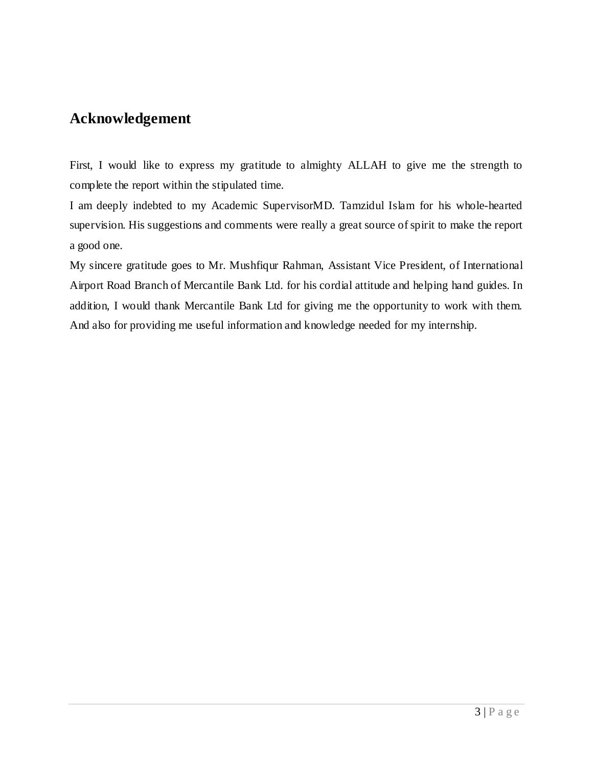# **Acknowledgement**

First, I would like to express my gratitude to almighty ALLAH to give me the strength to complete the report within the stipulated time.

I am deeply indebted to my Academic SupervisorMD. Tamzidul Islam for his whole-hearted supervision. His suggestions and comments were really a great source of spirit to make the report a good one.

My sincere gratitude goes to Mr. Mushfiqur Rahman, Assistant Vice President, of International Airport Road Branch of Mercantile Bank Ltd. for his cordial attitude and helping hand guides. In addition, I would thank Mercantile Bank Ltd for giving me the opportunity to work with them. And also for providing me useful information and knowledge needed for my internship.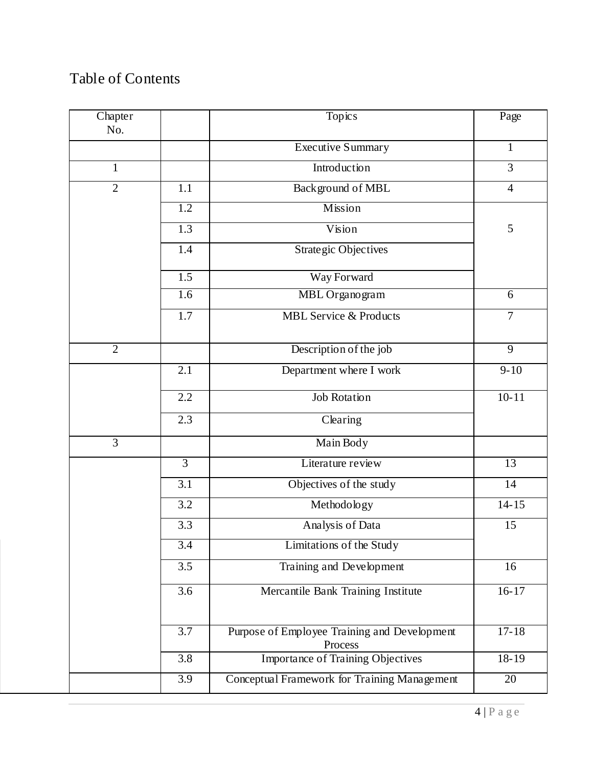# Table of Contents

| Chapter<br>No. |                          | Topics                                                  | Page            |
|----------------|--------------------------|---------------------------------------------------------|-----------------|
|                |                          | <b>Executive Summary</b>                                | $\mathbf{1}$    |
| $\mathbf{1}$   |                          | Introduction                                            | 3               |
| $\overline{2}$ | Background of MBL<br>1.1 |                                                         | $\overline{4}$  |
|                | $\overline{1.2}$         | Mission                                                 |                 |
|                | 1.3                      | Vision                                                  | 5               |
|                | 1.4                      | <b>Strategic Objectives</b>                             |                 |
|                | 1.5                      | Way Forward                                             |                 |
|                | 1.6                      | MBL Organogram                                          | 6               |
|                | 1.7                      | <b>MBL</b> Service & Products                           | $\overline{7}$  |
| $\overline{2}$ |                          | Description of the job                                  | $\overline{9}$  |
|                | 2.1                      | Department where I work                                 | $9 - 10$        |
|                | 2.2                      | <b>Job Rotation</b>                                     | $10 - 11$       |
|                | 2.3                      | Clearing                                                |                 |
| $\overline{3}$ |                          | Main Body                                               |                 |
|                | $\overline{3}$           | Literature review                                       | $\overline{13}$ |
|                | 3.1                      | Objectives of the study                                 | 14              |
|                | 3.2                      | Methodology                                             | $14 - 15$       |
|                | 3.3                      | Analysis of Data                                        | 15              |
|                | 3.4                      | Limitations of the Study                                |                 |
|                | 3.5                      | Training and Development                                | 16              |
|                | 3.6                      | Mercantile Bank Training Institute                      | $16 - 17$       |
|                | 3.7                      | Purpose of Employee Training and Development<br>Process | $17 - 18$       |
|                | 3.8                      | Importance of Training Objectives                       | 18-19           |
|                | 3.9                      | Conceptual Framework for Training Management            | 20              |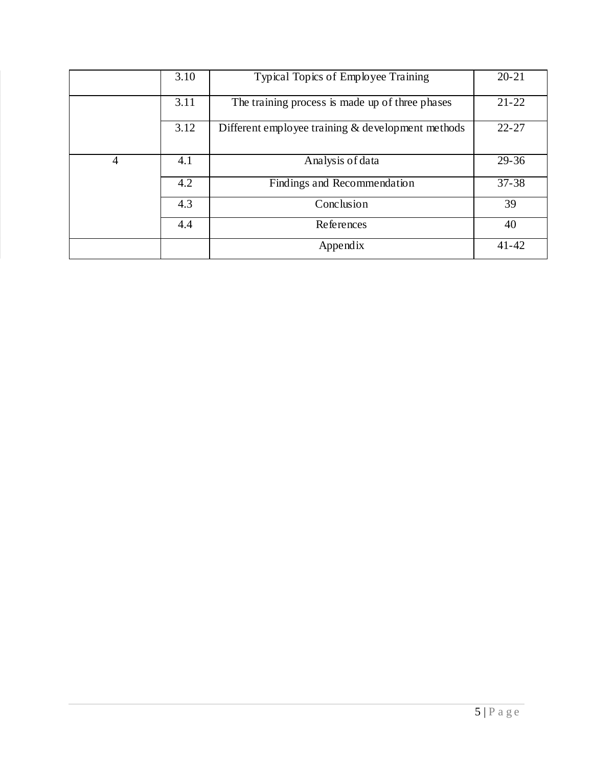|   | 3.10 | Typical Topics of Employee Training                  | $20 - 21$ |
|---|------|------------------------------------------------------|-----------|
|   | 3.11 | The training process is made up of three phases      | $21 - 22$ |
|   | 3.12 | Different employee training $\&$ development methods | $22 - 27$ |
| 4 | 4.1  | Analysis of data                                     | $29 - 36$ |
|   | 4.2  | Findings and Recommendation                          | $37 - 38$ |
|   | 4.3  | Conclusion                                           | 39        |
|   | 4.4  | References                                           | 40        |
|   |      | Appendix                                             | $41 - 42$ |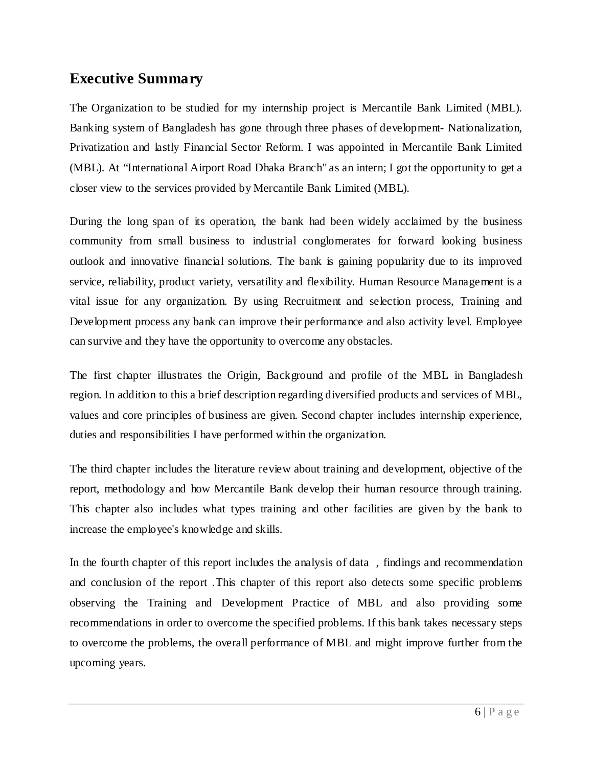# **Executive Summary**

The Organization to be studied for my internship project is Mercantile Bank Limited (MBL). Banking system of Bangladesh has gone through three phases of development- Nationalization, Privatization and lastly Financial Sector Reform. I was appointed in Mercantile Bank Limited (MBL). At "International Airport Road Dhaka Branch" as an intern; I got the opportunity to get a closer view to the services provided by Mercantile Bank Limited (MBL).

During the long span of its operation, the bank had been widely acclaimed by the business community from small business to industrial conglomerates for forward looking business outlook and innovative financial solutions. The bank is gaining popularity due to its improved service, reliability, product variety, versatility and flexibility. Human Resource Management is a vital issue for any organization. By using Recruitment and selection process, Training and Development process any bank can improve their performance and also activity level. Employee can survive and they have the opportunity to overcome any obstacles.

The first chapter illustrates the Origin, Background and profile of the MBL in Bangladesh region. In addition to this a brief description regarding diversified products and services of MBL, values and core principles of business are given. Second chapter includes internship experience, duties and responsibilities I have performed within the organization.

The third chapter includes the literature review about training and development, objective of the report, methodology and how Mercantile Bank develop their human resource through training. This chapter also includes what types training and other facilities are given by the bank to increase the employee's knowledge and skills.

In the fourth chapter of this report includes the analysis of data , findings and recommendation and conclusion of the report .This chapter of this report also detects some specific problems observing the Training and Development Practice of MBL and also providing some recommendations in order to overcome the specified problems. If this bank takes necessary steps to overcome the problems, the overall performance of MBL and might improve further from the upcoming years.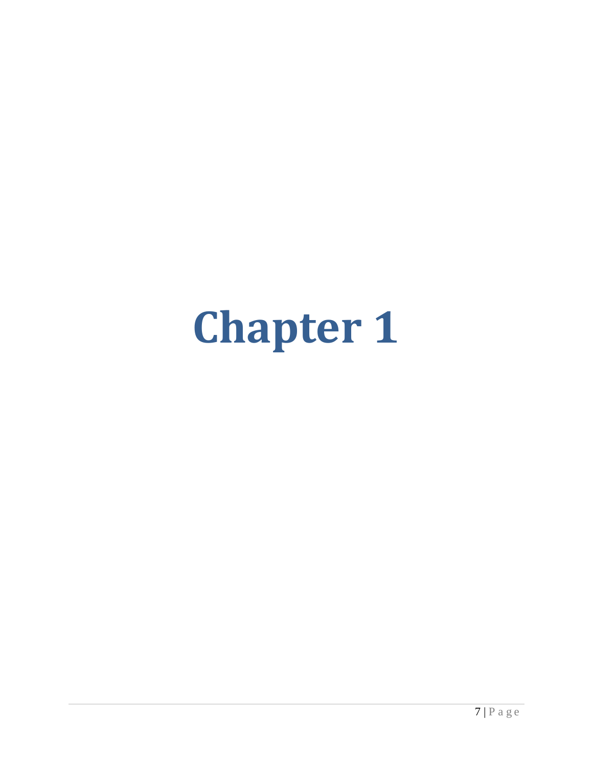# **Chapter 1**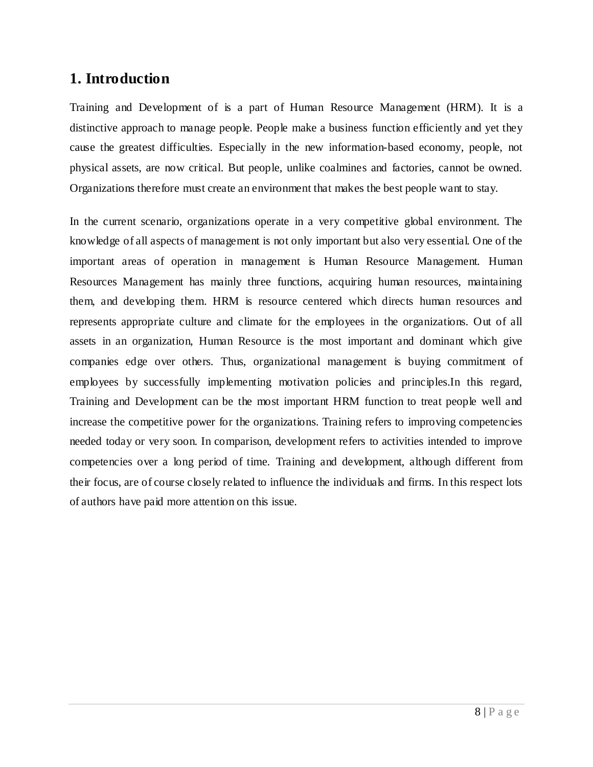# **1. Introduction**

Training and Development of is a part of Human Resource Management (HRM). It is a distinctive approach to manage people. People make a business function efficiently and yet they cause the greatest difficulties. Especially in the new information-based economy, people, not physical assets, are now critical. But people, unlike coalmines and factories, cannot be owned. Organizations therefore must create an environment that makes the best people want to stay.

In the current scenario, organizations operate in a very competitive global environment. The knowledge of all aspects of management is not only important but also very essential. One of the important areas of operation in management is Human Resource Management. Human Resources Management has mainly three functions, acquiring human resources, maintaining them, and developing them. HRM is resource centered which directs human resources and represents appropriate culture and climate for the employees in the organizations. Out of all assets in an organization, Human Resource is the most important and dominant which give companies edge over others. Thus, organizational management is buying commitment of employees by successfully implementing motivation policies and principles.In this regard, Training and Development can be the most important HRM function to treat people well and increase the competitive power for the organizations. Training refers to improving competencies needed today or very soon. In comparison, development refers to activities intended to improve competencies over a long period of time. Training and development, although different from their focus, are of course closely related to influence the individuals and firms. In this respect lots of authors have paid more attention on this issue.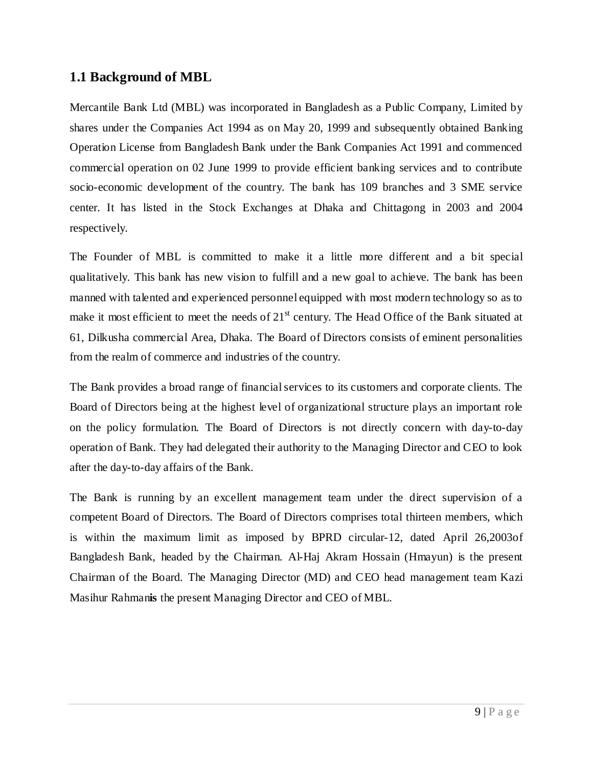## **1.1 Background of MBL**

Mercantile Bank Ltd (MBL) was incorporated in Bangladesh as a Public Company, Limited by shares under the Companies Act 1994 as on May 20, 1999 and subsequently obtained Banking Operation License from Bangladesh Bank under the Bank Companies Act 1991 and commenced commercial operation on 02 June 1999 to provide efficient banking services and to contribute socio-economic development of the country. The bank has 109 branches and 3 SME service center. It has listed in the Stock Exchanges at Dhaka and Chittagong in 2003 and 2004 respectively.

The Founder of MBL is committed to make it a little more different and a bit special qualitatively. This bank has new vision to fulfill and a new goal to achieve. The bank has been manned with talented and experienced personnel equipped with most modern technology so as to make it most efficient to meet the needs of 21<sup>st</sup> century. The Head Office of the Bank situated at 61, Dilkusha commercial Area, Dhaka. The Board of Directors consists of eminent personalities from the realm of commerce and industries of the country.

The Bank provides a broad range of financial services to its customers and corporate clients. The Board of Directors being at the highest level of organizational structure plays an important role on the policy formulation. The Board of Directors is not directly concern with day-to-day operation of Bank. They had delegated their authority to the Managing Director and CEO to look after the day-to-day affairs of the Bank.

The Bank is running by an excellent management team under the direct supervision of a competent Board of Directors. The Board of Directors comprises total thirteen members, which is within the maximum limit as imposed by BPRD circular-12, dated April 26,2003of Bangladesh Bank, headed by the Chairman. Al-Haj Akram Hossain (Hmayun) is the present Chairman of the Board. The Managing Director (MD) and CEO head management team Kazi Masihur Rahman**is** the present Managing Director and CEO of MBL.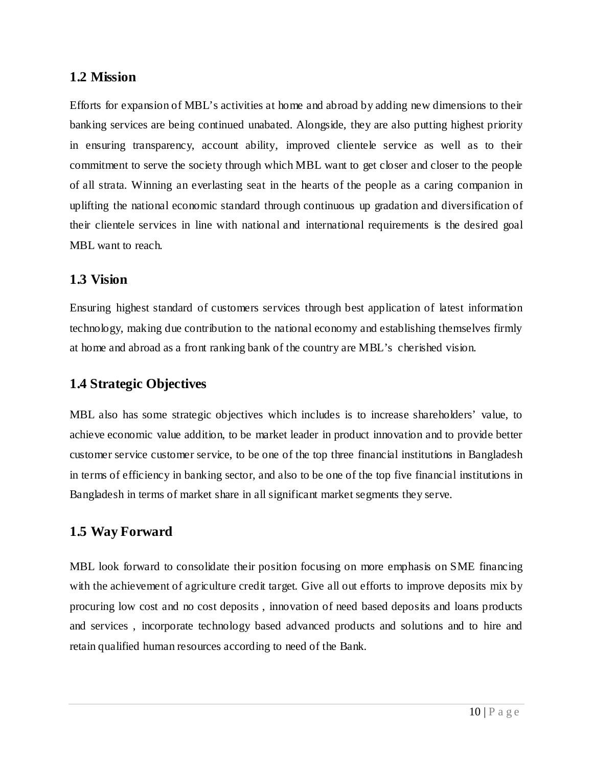## **1.2 Mission**

Efforts for expansion of MBL's activities at home and abroad by adding new dimensions to their banking services are being continued unabated. Alongside, they are also putting highest priority in ensuring transparency, account ability, improved clientele service as well as to their commitment to serve the society through which MBL want to get closer and closer to the people of all strata. Winning an everlasting seat in the hearts of the people as a caring companion in uplifting the national economic standard through continuous up gradation and diversification of their clientele services in line with national and international requirements is the desired goal MBL want to reach.

## **1.3 Vision**

Ensuring highest standard of customers services through best application of latest information technology, making due contribution to the national economy and establishing themselves firmly at home and abroad as a front ranking bank of the country are MBL's cherished vision.

## **1.4 Strategic Objectives**

MBL also has some strategic objectives which includes is to increase shareholders' value, to achieve economic value addition, to be market leader in product innovation and to provide better customer service customer service, to be one of the top three financial institutions in Bangladesh in terms of efficiency in banking sector, and also to be one of the top five financial institutions in Bangladesh in terms of market share in all significant market segments they serve.

## **1.5 Way Forward**

MBL look forward to consolidate their position focusing on more emphasis on SME financing with the achievement of agriculture credit target. Give all out efforts to improve deposits mix by procuring low cost and no cost deposits , innovation of need based deposits and loans products and services , incorporate technology based advanced products and solutions and to hire and retain qualified human resources according to need of the Bank.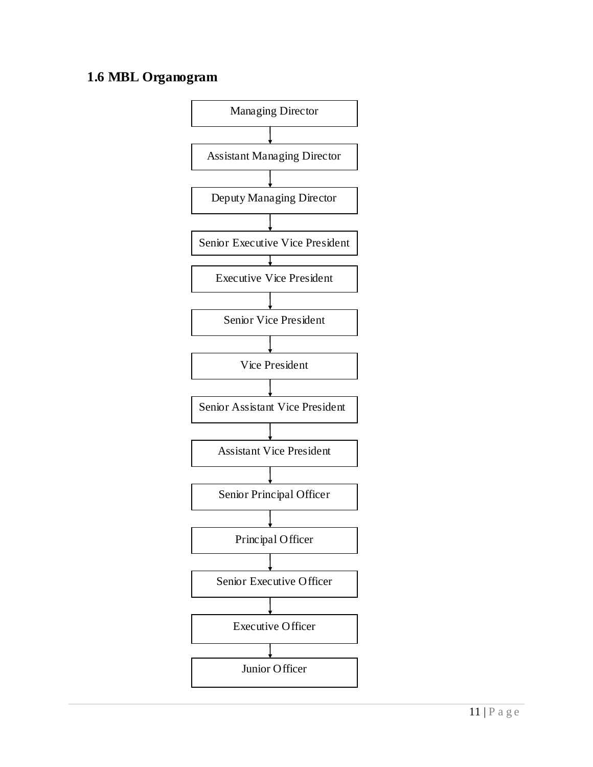# **1.6 MBL Organogram**

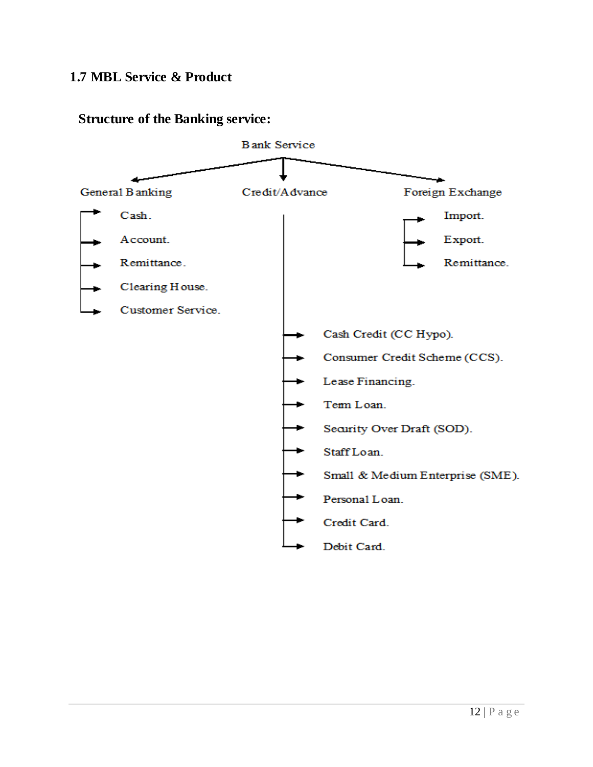## **1.7 MBL Service & Product**



## **Structure of the Banking service:**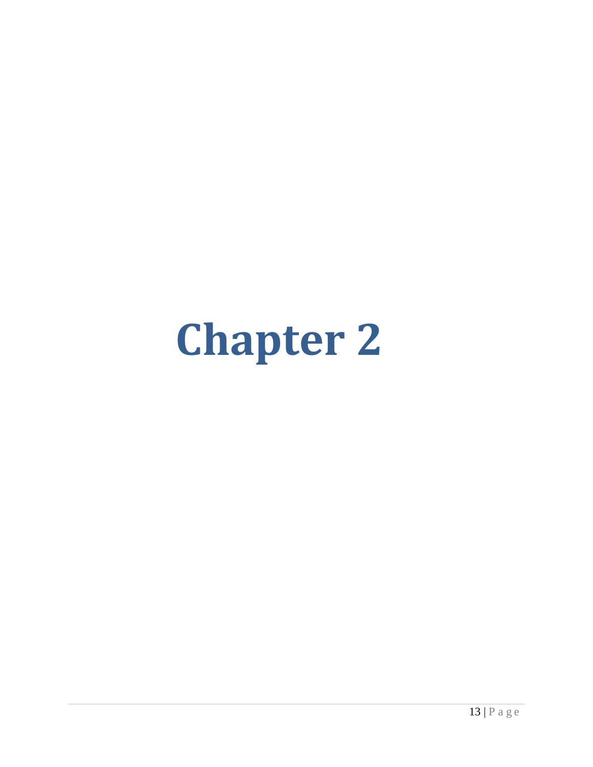# **Chapter 2**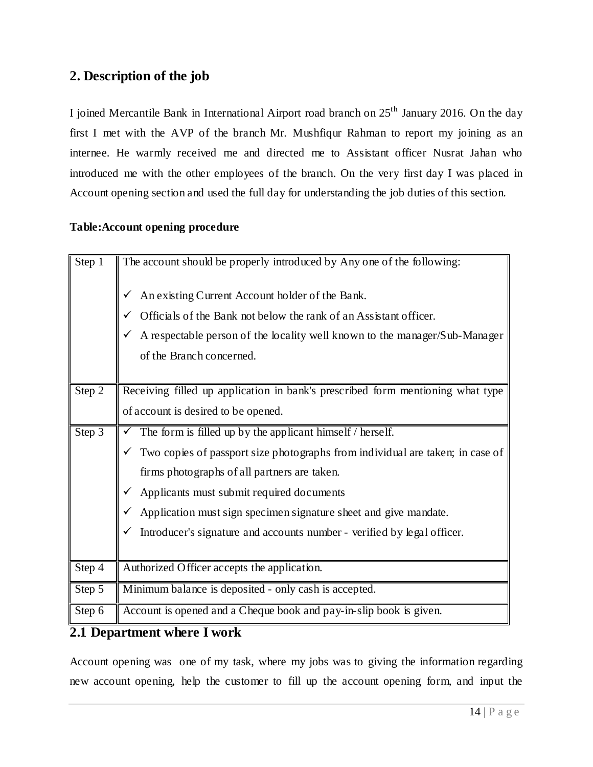## **2. Description of the job**

I joined Mercantile Bank in International Airport road branch on 25th January 2016. On the day first I met with the AVP of the branch Mr. Mushfiqur Rahman to report my joining as an internee. He warmly received me and directed me to Assistant officer Nusrat Jahan who introduced me with the other employees of the branch. On the very first day I was placed in Account opening section and used the full day for understanding the job duties of this section.

#### **Table:Account opening procedure**

| Step 1 | The account should be properly introduced by Any one of the following:<br>An existing Current Account holder of the Bank.<br>Officials of the Bank not below the rank of an Assistant officer.<br>✔<br>A respectable person of the locality well known to the manager/Sub-Manager<br>of the Branch concerned. |
|--------|---------------------------------------------------------------------------------------------------------------------------------------------------------------------------------------------------------------------------------------------------------------------------------------------------------------|
|        |                                                                                                                                                                                                                                                                                                               |
| Step 2 | Receiving filled up application in bank's prescribed form mentioning what type                                                                                                                                                                                                                                |
|        | of account is desired to be opened.                                                                                                                                                                                                                                                                           |
| Step 3 | $\checkmark$ The form is filled up by the applicant himself / herself.                                                                                                                                                                                                                                        |
|        | Two copies of passport size photographs from individual are taken; in case of                                                                                                                                                                                                                                 |
|        | firms photographs of all partners are taken.                                                                                                                                                                                                                                                                  |
|        | Applicants must submit required documents<br>$\checkmark$                                                                                                                                                                                                                                                     |
|        | Application must sign specimen signature sheet and give mandate.                                                                                                                                                                                                                                              |
|        | Introducer's signature and accounts number - verified by legal officer.<br>✓                                                                                                                                                                                                                                  |
|        |                                                                                                                                                                                                                                                                                                               |
| Step 4 | Authorized Officer accepts the application.                                                                                                                                                                                                                                                                   |
| Step 5 | Minimum balance is deposited - only cash is accepted.                                                                                                                                                                                                                                                         |
| Step 6 | Account is opened and a Cheque book and pay-in-slip book is given.                                                                                                                                                                                                                                            |

## **2.1 Department where I work**

Account opening was one of my task, where my jobs was to giving the information regarding new account opening, help the customer to fill up the account opening form, and input the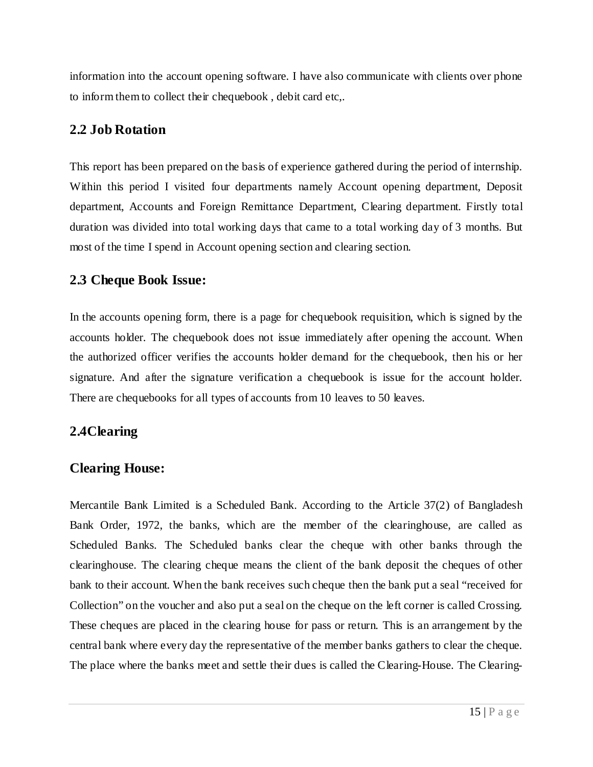information into the account opening software. I have also communicate with clients over phone to inform them to collect their chequebook , debit card etc,.

## **2.2 Job Rotation**

This report has been prepared on the basis of experience gathered during the period of internship. Within this period I visited four departments namely Account opening department, Deposit department, Accounts and Foreign Remittance Department, Clearing department. Firstly total duration was divided into total working days that came to a total working day of 3 months. But most of the time I spend in Account opening section and clearing section.

## **2.3 Cheque Book Issue:**

In the accounts opening form, there is a page for chequebook requisition, which is signed by the accounts holder. The chequebook does not issue immediately after opening the account. When the authorized officer verifies the accounts holder demand for the chequebook, then his or her signature. And after the signature verification a chequebook is issue for the account holder. There are chequebooks for all types of accounts from 10 leaves to 50 leaves.

## **2.4Clearing**

## **Clearing House:**

Mercantile Bank Limited is a Scheduled Bank. According to the Article 37(2) of Bangladesh Bank Order, 1972, the banks, which are the member of the clearinghouse, are called as Scheduled Banks. The Scheduled banks clear the cheque with other banks through the clearinghouse. The clearing cheque means the client of the bank deposit the cheques of other bank to their account. When the bank receives such cheque then the bank put a seal "received for Collection" on the voucher and also put a seal on the cheque on the left corner is called Crossing. These cheques are placed in the clearing house for pass or return. This is an arrangement by the central bank where every day the representative of the member banks gathers to clear the cheque. The place where the banks meet and settle their dues is called the Clearing-House. The Clearing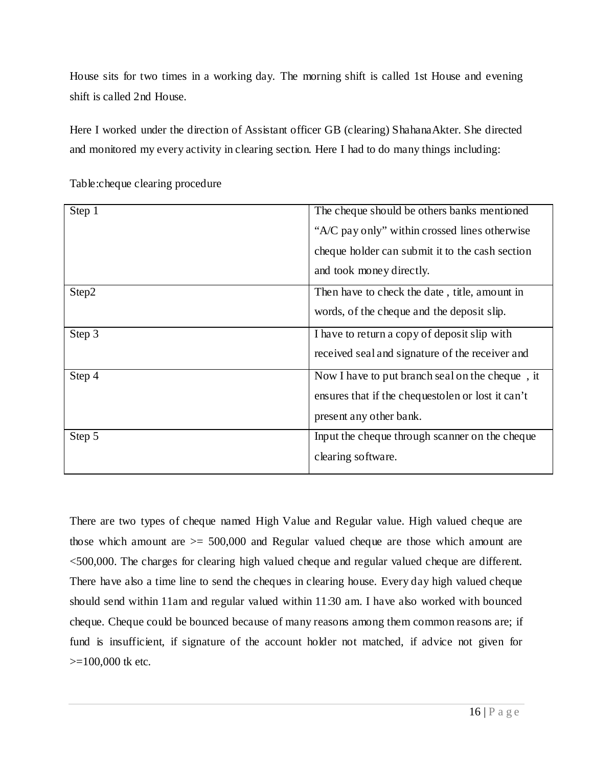House sits for two times in a working day. The morning shift is called 1st House and evening shift is called 2nd House.

Here I worked under the direction of Assistant officer GB (clearing) ShahanaAkter. She directed and monitored my every activity in clearing section. Here I had to do many things including:

| Step 1 | The cheque should be others banks mentioned       |
|--------|---------------------------------------------------|
|        | "A/C pay only" within crossed lines otherwise     |
|        | cheque holder can submit it to the cash section   |
|        | and took money directly.                          |
| Step2  | Then have to check the date, title, amount in     |
|        | words, of the cheque and the deposit slip.        |
| Step 3 | I have to return a copy of deposit slip with      |
|        | received seal and signature of the receiver and   |
| Step 4 | Now I have to put branch seal on the cheque, it   |
|        | ensures that if the chequestolen or lost it can't |
|        | present any other bank.                           |
| Step 5 | Input the cheque through scanner on the cheque    |
|        | clearing software.                                |
|        |                                                   |

Table:cheque clearing procedure

There are two types of cheque named High Value and Regular value. High valued cheque are those which amount are  $\geq$  500,000 and Regular valued cheque are those which amount are <500,000. The charges for clearing high valued cheque and regular valued cheque are different. There have also a time line to send the cheques in clearing house. Every day high valued cheque should send within 11am and regular valued within 11:30 am. I have also worked with bounced cheque. Cheque could be bounced because of many reasons among them common reasons are; if fund is insufficient, if signature of the account holder not matched, if advice not given for  $>=100,000$  tk etc.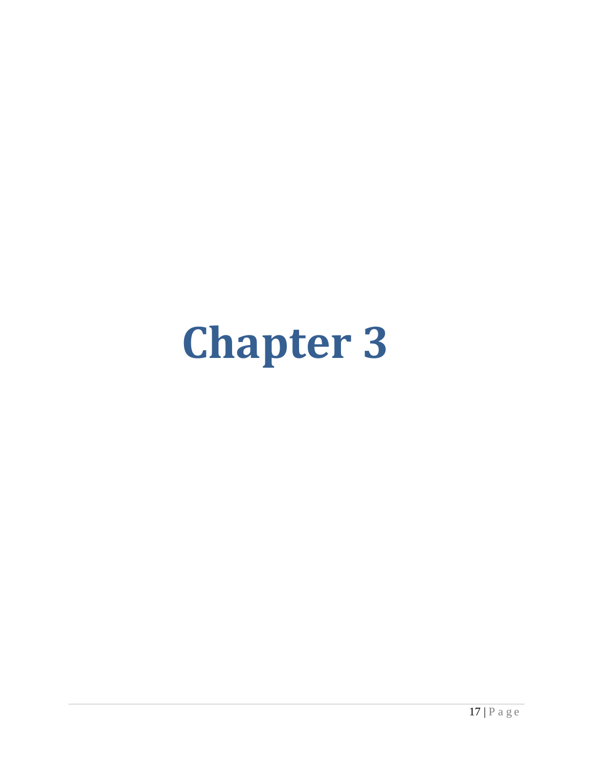# **Chapter 3**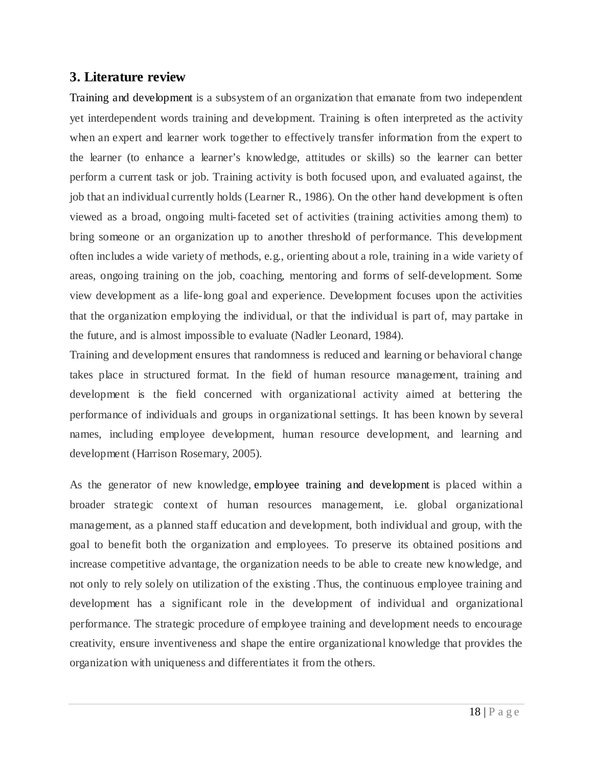#### **3. Literature review**

Training and [development](http://www.mbaknol.com/human-resource-management/training-and-development/) is a subsystem of an organization that emanate from two independent yet interdependent words training and development. Training is often interpreted as the activity when an expert and learner work together to effectively transfer information from the expert to the learner (to enhance a learner's knowledge, attitudes or skills) so the learner can better perform a current task or job. Training activity is both focused upon, and evaluated against, the job that an individual currently holds (Learner R., 1986). On the other hand development is often viewed as a broad, ongoing multi-faceted set of activities (training activities among them) to bring someone or an organization up to another threshold of performance. This development often includes a wide variety of methods, e.g., orienting about a role, training in a wide variety of areas, ongoing training on the job, coaching, mentoring and forms of self-development. Some view development as a life-long goal and experience. Development focuses upon the activities that the organization employing the individual, or that the individual is part of, may partake in the future, and is almost impossible to evaluate (Nadler Leonard, 1984).

Training and development ensures that randomness is reduced and learning or behavioral change takes place in structured format. In the field of human resource management, training and development is the field concerned with organizational activity aimed at bettering the performance of individuals and groups in organizational settings. It has been known by several names, including employee development, human resource development, and learning and development (Harrison Rosemary, 2005).

As the generator of new knowledge, employee training and [development](http://www.mbaknol.com/human-resource-management/training-and-development/) is placed within a broader strategic context of human resources management, i.e. global organizational management, as a planned staff education and development, both individual and group, with the goal to benefit both the organization and employees. To preserve its obtained positions and increase competitive advantage, the organization needs to be able to create new knowledge, and not only to rely solely on utilization of the existing .Thus, the continuous employee training and development has a significant role in the development of individual and organizational performance. The strategic procedure of employee training and development needs to encourage creativity, ensure inventiveness and shape the entire organizational knowledge that provides the organization with uniqueness and differentiates it from the others.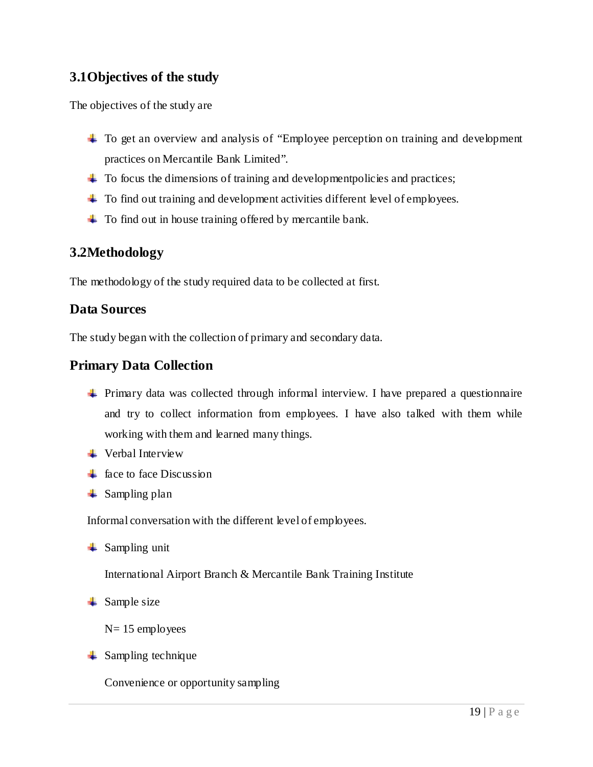## **3.1Objectives of the study**

The objectives of the study are

- To get an overview and analysis of "Employee perception on training and development practices on Mercantile Bank Limited".
- $\ddot{\phantom{1}}$  To focus the dimensions of training and development policies and practices;
- <sup> $\pm$ </sup> To find out training and development activities different level of employees.
- $\pm$  To find out in house training offered by mercantile bank.

## **3.2Methodology**

The methodology of the study required data to be collected at first.

## **Data Sources**

The study began with the collection of primary and secondary data.

## **Primary Data Collection**

- Primary data was collected through informal interview. I have prepared a questionnaire and try to collect information from employees. I have also talked with them while working with them and learned many things.
- $\downarrow$  Verbal Interview
- $\frac{1}{\sqrt{2}}$  face to face Discussion
- $\frac{1}{\sqrt{2}}$  Sampling plan

Informal conversation with the different level of employees.

 $\triangleq$  Sampling unit

International Airport Branch & Mercantile Bank Training Institute

 $\triangleq$  Sample size

N= 15 employees

 $\frac{1}{2}$  Sampling technique

Convenience or opportunity sampling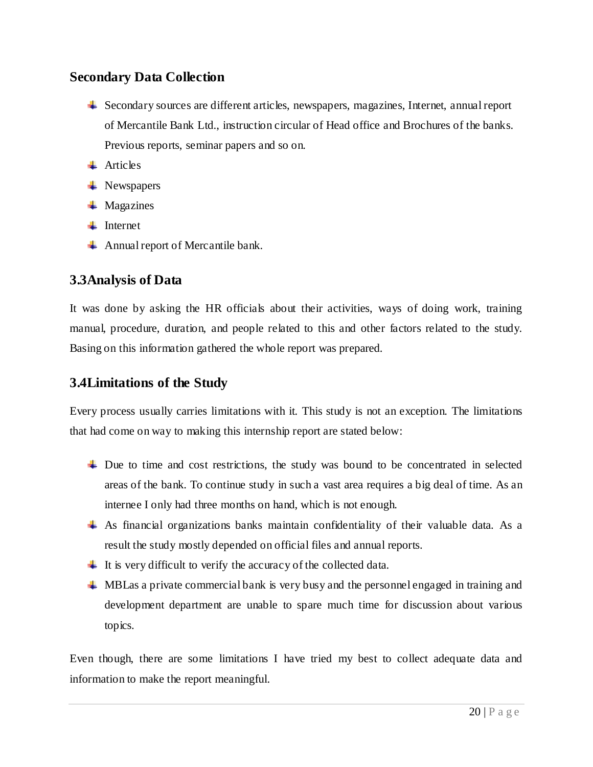## **Secondary Data Collection**

- Secondary sources are different articles, newspapers, magazines, Internet, annual report of Mercantile Bank Ltd., instruction circular of Head office and Brochures of the banks. Previous reports, seminar papers and so on.
- $\blacksquare$  Articles
- $\blacksquare$  Newspapers
- $\blacksquare$  Magazines
- $\blacksquare$  Internet
- Annual report of Mercantile bank.

## **3.3Analysis of Data**

It was done by asking the HR officials about their activities, ways of doing work, training manual, procedure, duration, and people related to this and other factors related to the study. Basing on this information gathered the whole report was prepared.

## **3.4Limitations of the Study**

Every process usually carries limitations with it. This study is not an exception. The limitations that had come on way to making this internship report are stated below:

- $\perp$  Due to time and cost restrictions, the study was bound to be concentrated in selected areas of the bank. To continue study in such a vast area requires a big deal of time. As an internee I only had three months on hand, which is not enough.
- As financial organizations banks maintain confidentiality of their valuable data. As a result the study mostly depended on official files and annual reports.
- $\ddot{\phantom{1}}$  It is very difficult to verify the accuracy of the collected data.
- **WIDU** MBLas a private commercial bank is very busy and the personnel engaged in training and development department are unable to spare much time for discussion about various topics.

Even though, there are some limitations I have tried my best to collect adequate data and information to make the report meaningful.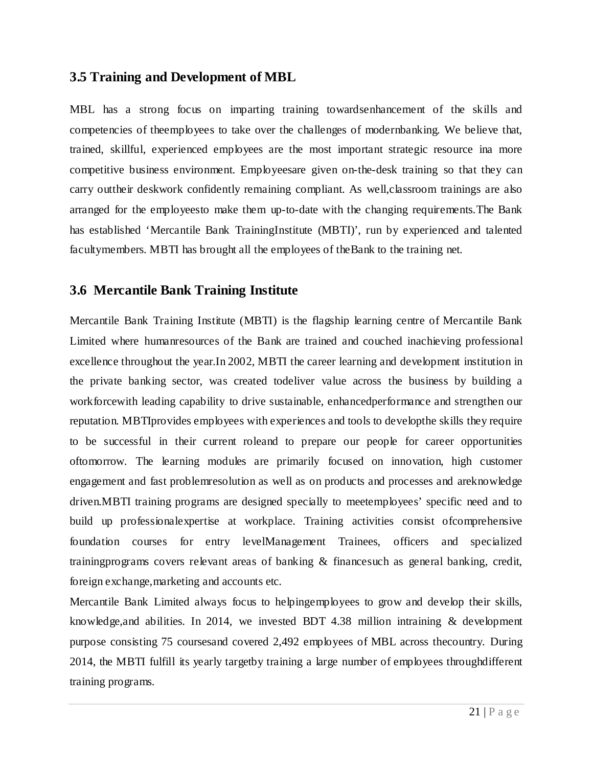## **3.5 Training and Development of MBL**

MBL has a strong focus on imparting training towardsenhancement of the skills and competencies of theemployees to take over the challenges of modernbanking. We believe that, trained, skillful, experienced employees are the most important strategic resource ina more competitive business environment. Employeesare given on-the-desk training so that they can carry outtheir deskwork confidently remaining compliant. As well,classroom trainings are also arranged for the employeesto make them up-to-date with the changing requirements.The Bank has established 'Mercantile Bank TrainingInstitute (MBTI)', run by experienced and talented facultymembers. MBTI has brought all the employees of theBank to the training net.

## **3.6 Mercantile Bank Training Institute**

Mercantile Bank Training Institute (MBTI) is the flagship learning centre of Mercantile Bank Limited where humanresources of the Bank are trained and couched inachieving professional excellence throughout the year.In 2002, MBTI the career learning and development institution in the private banking sector, was created todeliver value across the business by building a workforcewith leading capability to drive sustainable, enhancedperformance and strengthen our reputation. MBTIprovides employees with experiences and tools to developthe skills they require to be successful in their current roleand to prepare our people for career opportunities oftomorrow. The learning modules are primarily focused on innovation, high customer engagement and fast problemresolution as well as on products and processes and areknowledge driven.MBTI training programs are designed specially to meetemployees' specific need and to build up professionalexpertise at workplace. Training activities consist ofcomprehensive foundation courses for entry levelManagement Trainees, officers and specialized trainingprograms covers relevant areas of banking & financesuch as general banking, credit, foreign exchange,marketing and accounts etc.

Mercantile Bank Limited always focus to helpingemployees to grow and develop their skills, knowledge,and abilities. In 2014, we invested BDT 4.38 million intraining & development purpose consisting 75 coursesand covered 2,492 employees of MBL across thecountry. During 2014, the MBTI fulfill its yearly targetby training a large number of employees throughdifferent training programs.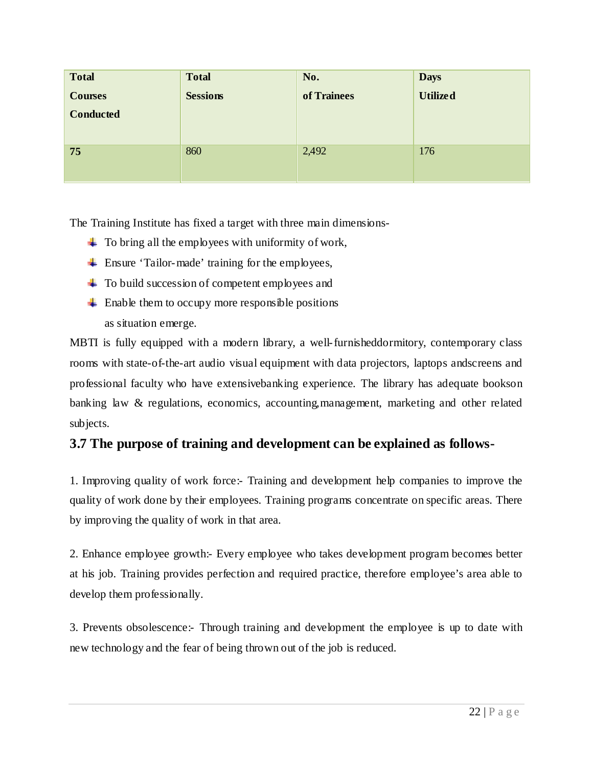| <b>Total</b>     | <b>Total</b>    | No.         | <b>Days</b>     |
|------------------|-----------------|-------------|-----------------|
| <b>Courses</b>   | <b>Sessions</b> | of Trainees | <b>Utilized</b> |
| <b>Conducted</b> |                 |             |                 |
|                  |                 |             |                 |
| 75               | 860             | 2,492       | 176             |
|                  |                 |             |                 |

The Training Institute has fixed a target with three main dimensions-

- $\ddot{\phantom{a}}$  To bring all the employees with uniformity of work,
- $\overline{\phantom{a}}$  Ensure 'Tailor-made' training for the employees,
- $\pm$  To build succession of competent employees and
- $\perp$  Enable them to occupy more responsible positions as situation emerge.

MBTI is fully equipped with a modern library, a well-furnisheddormitory, contemporary class rooms with state-of-the-art audio visual equipment with data projectors, laptops andscreens and professional faculty who have extensivebanking experience. The library has adequate bookson banking law & regulations, economics, accounting,management, marketing and other related subjects.

## **3.7 The purpose of training and development can be explained as follows-**

1. Improving quality of work force:- Training and development help companies to improve the quality of work done by their employees. Training programs concentrate on specific areas. There by improving the quality of work in that area.

2. Enhance employee growth:- Every employee who takes development program becomes better at his job. Training provides perfection and required practice, therefore employee's area able to develop them professionally.

3. Prevents obsolescence:- Through training and development the employee is up to date with new technology and the fear of being thrown out of the job is reduced.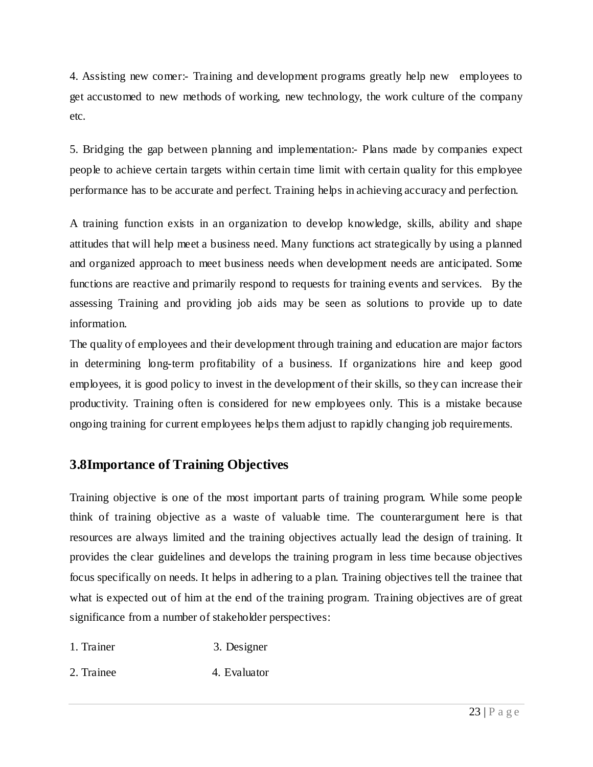4. Assisting new comer:- Training and development programs greatly help new employees to get accustomed to new methods of working, new technology, the work culture of the company etc.

5. Bridging the gap between planning and implementation:- Plans made by companies expect people to achieve certain targets within certain time limit with certain quality for this employee performance has to be accurate and perfect. Training helps in achieving accuracy and perfection.

A training function exists in an organization to develop knowledge, skills, ability and shape attitudes that will help meet a business need. Many functions act strategically by using a planned and organized approach to meet business needs when development needs are anticipated. Some functions are reactive and primarily respond to requests for training events and services. By the assessing Training and providing job aids may be seen as solutions to provide up to date information.

The quality of employees and their development through training and education are major factors in determining long-term profitability of a business. If organizations hire and keep good employees, it is good policy to invest in the development of their skills, so they can increase their productivity. Training often is considered for new employees only. This is a mistake because ongoing training for current employees helps them adjust to rapidly changing job requirements.

## **3.8Importance of Training Objectives**

Training objective is one of the most important parts of training program. While some people think of training objective as a waste of valuable time. The counterargument here is that resources are always limited and the training objectives actually lead the design of training. It provides the clear guidelines and develops the training program in less time because objectives focus specifically on needs. It helps in adhering to a plan. Training objectives tell the trainee that what is expected out of him at the end of the training program. Training objectives are of great significance from a number of stakeholder perspectives:

- 1. Trainer 3. Designer
- 2. Trainee 4. Evaluator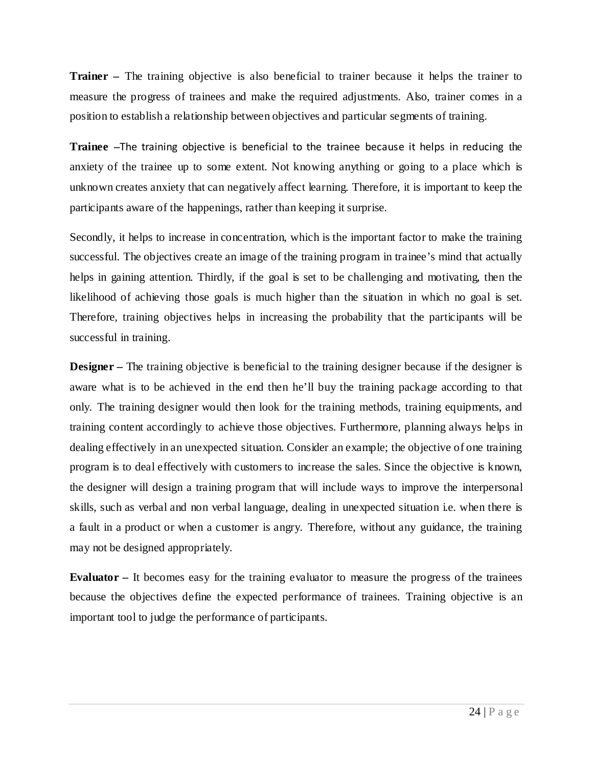**Trainer –** The training objective is also beneficial to trainer because it helps the trainer to measure the progress of trainees and make the required adjustments. Also, trainer comes in a position to establish a relationship between objectives and particular segments of training.

**Trainee –**The training objective is beneficial to the trainee because it helps in reducing the anxiety of the trainee up to some extent. Not knowing anything or going to a place which is unknown creates anxiety that can negatively affect learning. Therefore, it is important to keep the participants aware of the happenings, rather than keeping it surprise.

Secondly, it helps to increase in concentration, which is the important factor to make the training successful. The objectives create an image of the training program in trainee's mind that actually helps in gaining attention. Thirdly, if the goal is set to be challenging and motivating, then the likelihood of achieving those goals is much higher than the situation in which no goal is set. Therefore, training objectives helps in increasing the probability that the participants will be successful in training.

**Designer –** The training objective is beneficial to the training designer because if the designer is aware what is to be achieved in the end then he'll buy the training package according to that only. The training designer would then look for the training methods, training equipments, and training content accordingly to achieve those objectives. Furthermore, planning always helps in dealing effectively in an unexpected situation. Consider an example; the objective of one training program is to deal effectively with customers to increase the sales. Since the objective is known, the designer will design a training program that will include ways to improve the interpersonal skills, such as verbal and non verbal language, dealing in unexpected situation i.e. when there is a fault in a product or when a customer is angry. Therefore, without any guidance, the training may not be designed appropriately.

**Evaluator** *–* It becomes easy for the training evaluator to measure the progress of the trainees because the objectives define the expected performance of trainees. Training objective is an important tool to judge the performance of participants.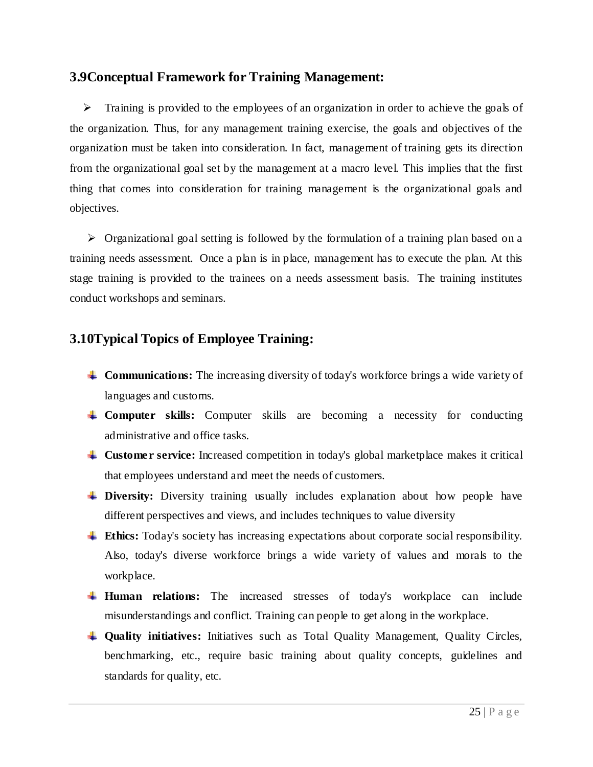## **3.9Conceptual Framework for Training Management:**

 $\triangleright$  Training is provided to the employees of an organization in order to achieve the goals of the organization. Thus, for any management training exercise, the goals and objectives of the organization must be taken into consideration. In fact, management of training gets its direction from the organizational goal set by the management at a macro level. This implies that the first thing that comes into consideration for training management is the organizational goals and objectives.

 $\triangleright$  Organizational goal setting is followed by the formulation of a training plan based on a training needs assessment. Once a plan is in place, management has to execute the plan. At this stage training is provided to the trainees on a needs assessment basis. The training institutes conduct workshops and seminars.

## **3.10Typical Topics of Employee Training:**

- **Communications:** The increasing diversity of today's workforce brings a wide variety of languages and customs.
- **Computer skills:** Computer skills are becoming a necessity for conducting administrative and office tasks.
- **Customer service:** Increased competition in today's global marketplace makes it critical that employees understand and meet the needs of customers.
- **Diversity:** Diversity training usually includes explanation about how people have different perspectives and views, and includes techniques to value diversity
- **Ethics:** Today's society has increasing expectations about corporate social responsibility. Also, today's diverse workforce brings a wide variety of values and morals to the workplace.
- **Human relations:** The increased stresses of today's workplace can include misunderstandings and conflict. Training can people to get along in the workplace.
- **Quality initiatives:** Initiatives such as Total Quality Management, Quality Circles, benchmarking, etc., require basic training about quality concepts, guidelines and standards for quality, etc.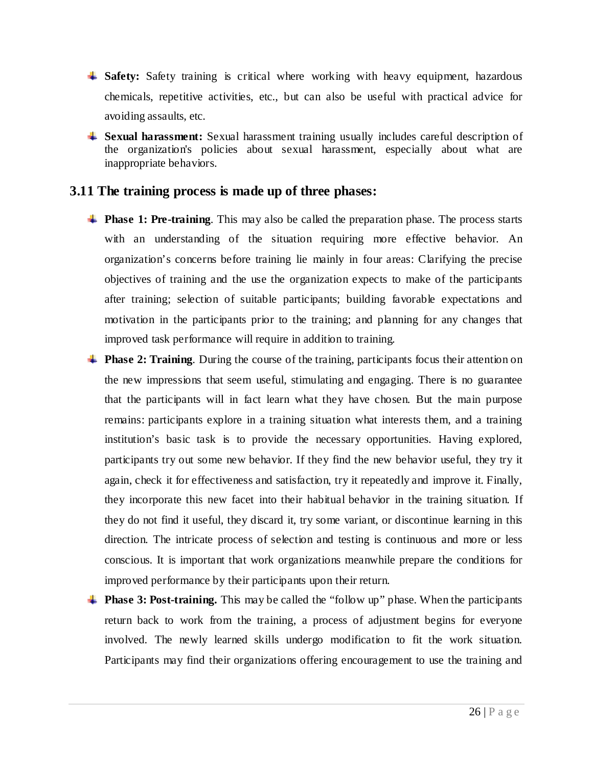- **Safety:** Safety training is critical where working with heavy equipment, hazardous chemicals, repetitive activities, etc., but can also be useful with practical advice for avoiding assaults, etc.
- **Sexual harassment:** Sexual harassment training usually includes careful description of the organization's policies about sexual harassment, especially about what are inappropriate behaviors.

## **3.11 The training process is made up of three phases:**

- **Phase 1: Pre-training**. This may also be called the preparation phase. The process starts with an understanding of the situation requiring more effective behavior. An organization's concerns before training lie mainly in four areas: Clarifying the precise objectives of training and the use the organization expects to make of the participants after training; selection of suitable participants; building favorable expectations and motivation in the participants prior to the training; and planning for any changes that improved task performance will require in addition to training.
- **Phase 2: Training.** During the course of the training, participants focus their attention on the new impressions that seem useful, stimulating and engaging. There is no guarantee that the participants will in fact learn what they have chosen. But the main purpose remains: participants explore in a training situation what interests them, and a training institution's basic task is to provide the necessary opportunities. Having explored, participants try out some new behavior. If they find the new behavior useful, they try it again, check it for effectiveness and satisfaction, try it repeatedly and improve it. Finally, they incorporate this new facet into their habitual behavior in the training situation. If they do not find it useful, they discard it, try some variant, or discontinue learning in this direction. The intricate process of selection and testing is continuous and more or less conscious. It is important that work organizations meanwhile prepare the conditions for improved performance by their participants upon their return.
- **Phase 3: Post-training.** This may be called the "follow up" phase. When the participants return back to work from the training, a process of adjustment begins for everyone involved. The newly learned skills undergo modification to fit the work situation. Participants may find their organizations offering encouragement to use the training and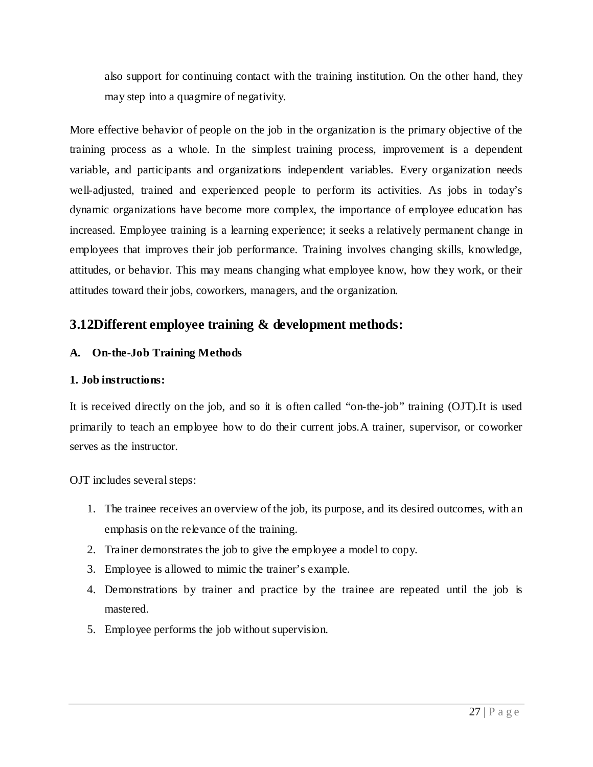also support for continuing contact with the training institution. On the other hand, they may step into a quagmire of negativity.

More effective behavior of people on the job in the organization is the primary objective of the training process as a whole. In the simplest training process, improvement is a dependent variable, and participants and organizations independent variables. Every organization needs well-adjusted, trained and experienced people to perform its activities. As jobs in today's dynamic organizations have become more complex, the importance of employee education has increased. Employee training is a learning experience; it seeks a relatively permanent change in employees that improves their job performance. Training involves changing skills, knowledge, attitudes, or behavior. This may means changing what employee know, how they work, or their attitudes toward their jobs, coworkers, managers, and the organization.

## **3.12Different employee training & development methods:**

#### **A. On-the-Job Training Methods**

#### **1. Job instructions:**

It is received directly on the job, and so it is often called "on-the-job" training (OJT).It is used primarily to teach an employee how to do their current jobs.A trainer, supervisor, or coworker serves as the instructor.

OJT includes several steps:

- 1. The trainee receives an overview of the job, its purpose, and its desired outcomes, with an emphasis on the relevance of the training.
- 2. Trainer demonstrates the job to give the employee a model to copy.
- 3. Employee is allowed to mimic the trainer's example.
- 4. Demonstrations by trainer and practice by the trainee are repeated until the job is mastered.
- 5. Employee performs the job without supervision.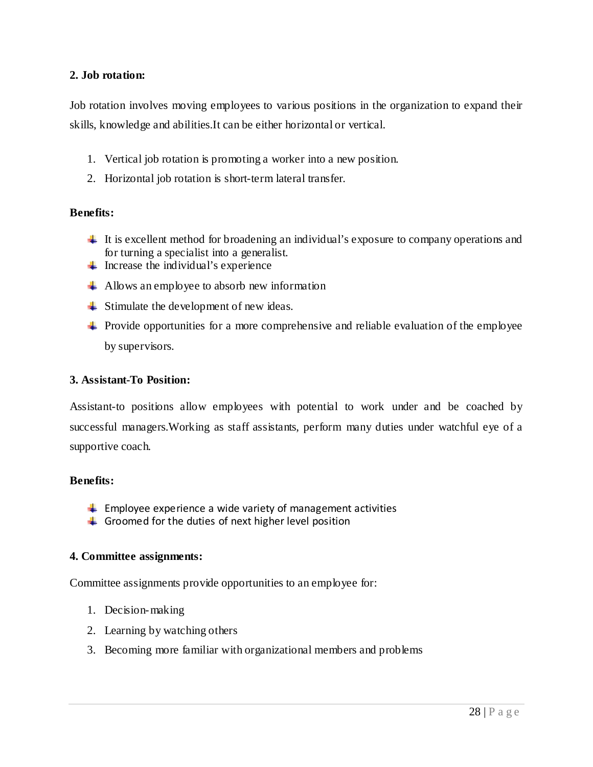#### **2. Job rotation:**

Job rotation involves moving employees to various positions in the organization to expand their skills, knowledge and abilities.It can be either horizontal or vertical.

- 1. Vertical job rotation is promoting a worker into a new position.
- 2. Horizontal job rotation is short-term lateral transfer.

#### **Benefits:**

- $\ddot{\phantom{1}}$  It is excellent method for broadening an individual's exposure to company operations and for turning a specialist into a generalist.
- $\blacksquare$  Increase the individual's experience
- $\downarrow$  Allows an employee to absorb new information
- $\overline{\phantom{a}}$  Stimulate the development of new ideas.
- $\ddot{\phantom{1}}$  Provide opportunities for a more comprehensive and reliable evaluation of the employee by supervisors.

#### **3. Assistant-To Position:**

Assistant-to positions allow employees with potential to work under and be coached by successful managers.Working as staff assistants, perform many duties under watchful eye of a supportive coach.

#### **Benefits:**

- $\ddot{\phantom{1}}$  Employee experience a wide variety of management activities
- $\triangleq$  Groomed for the duties of next higher level position

#### **4. Committee assignments:**

Committee assignments provide opportunities to an employee for:

- 1. Decision-making
- 2. Learning by watching others
- 3. Becoming more familiar with organizational members and problems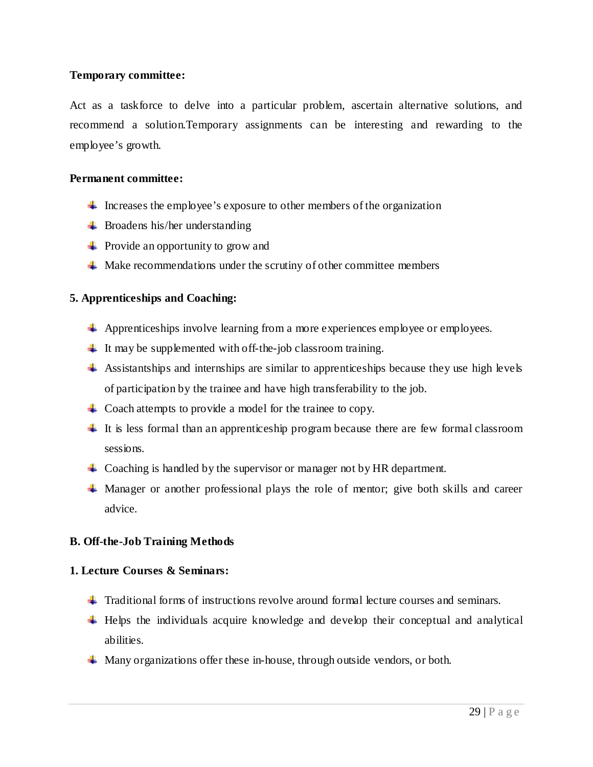#### **Temporary committee:**

Act as a taskforce to delve into a particular problem, ascertain alternative solutions, and recommend a solution.Temporary assignments can be interesting and rewarding to the employee's growth.

#### **Permanent committee:**

- $\ddot{\phantom{1}}$  Increases the employee's exposure to other members of the organization
- $\overline{\phantom{a}}$  Broadens his/her understanding
- $\overline{\phantom{a}}$  Provide an opportunity to grow and
- $\overline{\phantom{a}}$  Make recommendations under the scrutiny of other committee members

#### **5. Apprenticeships and Coaching:**

- Apprenticeships involve learning from a more experiences employee or employees.
- $\ddot{\phantom{1}}$  It may be supplemented with off-the-job classroom training.
- $\overline{\phantom{a}}$  Assistantships and internships are similar to apprenticeships because they use high levels of participation by the trainee and have high transferability to the job.
- $\perp$  Coach attempts to provide a model for the trainee to copy.
- $\pm$  It is less formal than an apprenticeship program because there are few formal classroom sessions.
- $\perp$  Coaching is handled by the supervisor or manager not by HR department.
- $\blacktriangle$  Manager or another professional plays the role of mentor; give both skills and career advice.

#### **B. Off-the-Job Training Methods**

#### **1. Lecture Courses & Seminars:**

- $\pm$  Traditional forms of instructions revolve around formal lecture courses and seminars.
- $\ddot{\phantom{1}}$  Helps the individuals acquire knowledge and develop their conceptual and analytical abilities.
- **Many organizations offer these in-house, through outside vendors, or both.**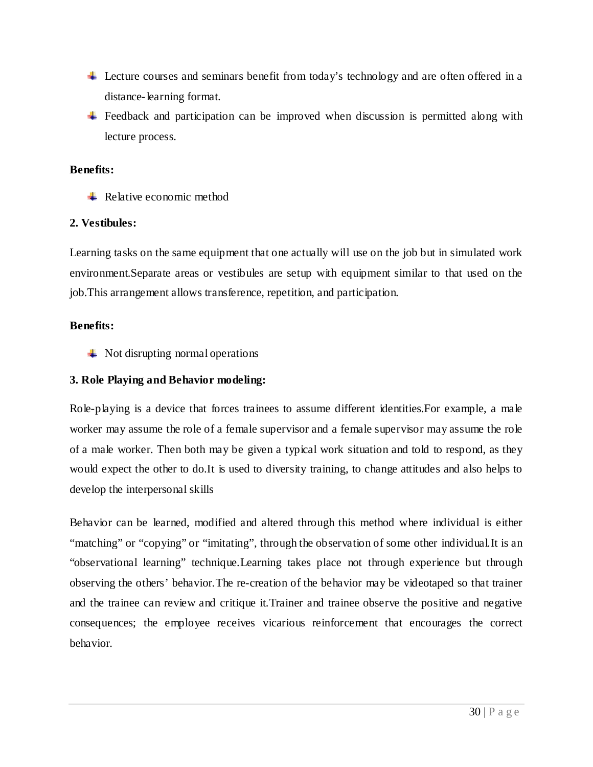- Lecture courses and seminars benefit from today's technology and are often offered in a distance-learning format.
- Feedback and participation can be improved when discussion is permitted along with lecture process.

#### **Benefits:**

 $\overline{\phantom{a}}$  Relative economic method

#### **2. Vestibules:**

Learning tasks on the same equipment that one actually will use on the job but in simulated work environment.Separate areas or vestibules are setup with equipment similar to that used on the job.This arrangement allows transference, repetition, and participation.

#### **Benefits:**

 $\blacksquare$  Not disrupting normal operations

#### **3. Role Playing and Behavior modeling:**

Role-playing is a device that forces trainees to assume different identities.For example, a male worker may assume the role of a female supervisor and a female supervisor may assume the role of a male worker. Then both may be given a typical work situation and told to respond, as they would expect the other to do.It is used to diversity training, to change attitudes and also helps to develop the interpersonal skills

Behavior can be learned, modified and altered through this method where individual is either "matching" or "copying" or "imitating", through the observation of some other individual. It is an "observational learning" technique.Learning takes place not through experience but through observing the others' behavior.The re-creation of the behavior may be videotaped so that trainer and the trainee can review and critique it.Trainer and trainee observe the positive and negative consequences; the employee receives vicarious reinforcement that encourages the correct behavior.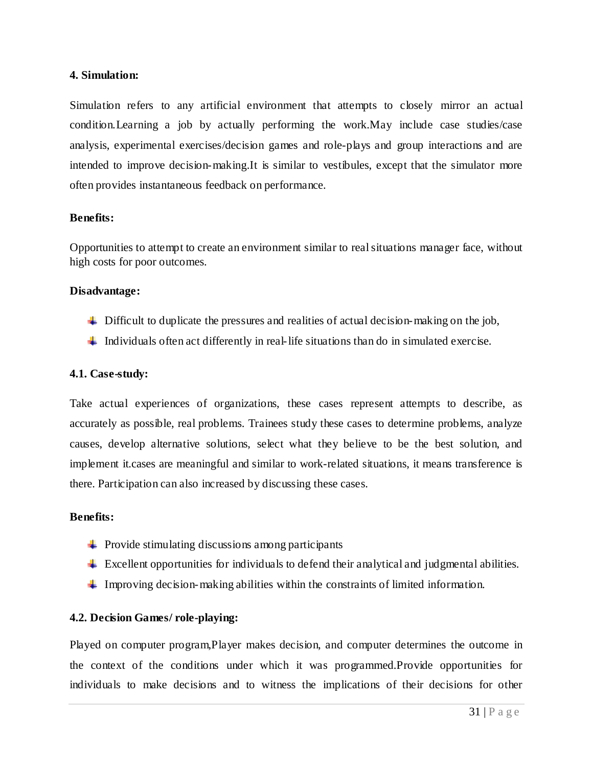#### **4. Simulation:**

Simulation refers to any artificial environment that attempts to closely mirror an actual condition.Learning a job by actually performing the work.May include case studies/case analysis, experimental exercises/decision games and role-plays and group interactions and are intended to improve decision-making.It is similar to vestibules, except that the simulator more often provides instantaneous feedback on performance.

#### **Benefits:**

Opportunities to attempt to create an environment similar to real situations manager face, without high costs for poor outcomes.

#### **Disadvantage:**

- $\ddot{\phantom{a}}$  Difficult to duplicate the pressures and realities of actual decision-making on the job,
- Individuals often act differently in real-life situations than do in simulated exercise.

#### **4.1. Case-study:**

Take actual experiences of organizations, these cases represent attempts to describe, as accurately as possible, real problems. Trainees study these cases to determine problems, analyze causes, develop alternative solutions, select what they believe to be the best solution, and implement it.cases are meaningful and similar to work-related situations, it means transference is there. Participation can also increased by discussing these cases.

#### **Benefits:**

- $\downarrow$  Provide stimulating discussions among participants
- $\perp$  Excellent opportunities for individuals to defend their analytical and judgmental abilities.
- Improving decision-making abilities within the constraints of limited information.

#### **4.2. Decision Games/ role-playing:**

Played on computer program,Player makes decision, and computer determines the outcome in the context of the conditions under which it was programmed.Provide opportunities for individuals to make decisions and to witness the implications of their decisions for other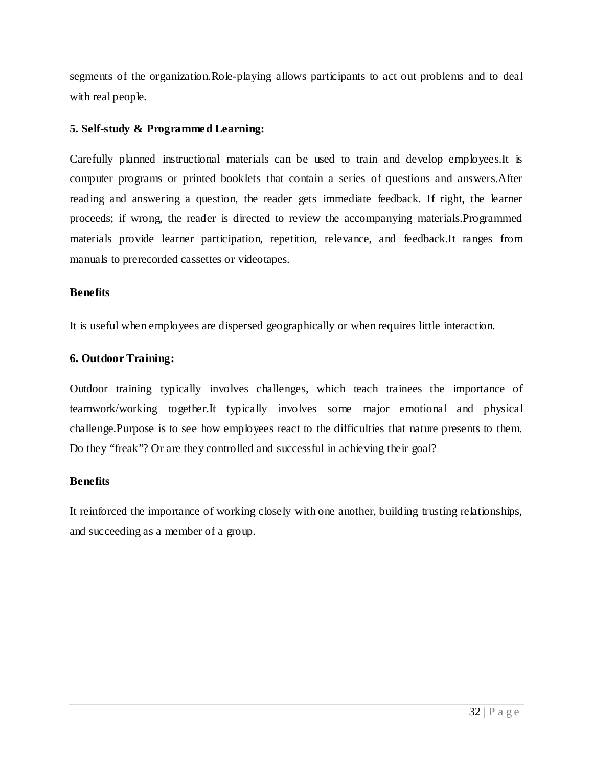segments of the organization.Role-playing allows participants to act out problems and to deal with real people.

#### **5. Self-study & Programmed Learning:**

Carefully planned instructional materials can be used to train and develop employees.It is computer programs or printed booklets that contain a series of questions and answers.After reading and answering a question, the reader gets immediate feedback. If right, the learner proceeds; if wrong, the reader is directed to review the accompanying materials.Programmed materials provide learner participation, repetition, relevance, and feedback.It ranges from manuals to prerecorded cassettes or videotapes.

#### **Benefits**

It is useful when employees are dispersed geographically or when requires little interaction.

#### **6. Outdoor Training:**

Outdoor training typically involves challenges, which teach trainees the importance of teamwork/working together.It typically involves some major emotional and physical challenge.Purpose is to see how employees react to the difficulties that nature presents to them. Do they "freak"? Or are they controlled and successful in achieving their goal?

#### **Benefits**

It reinforced the importance of working closely with one another, building trusting relationships, and succeeding as a member of a group.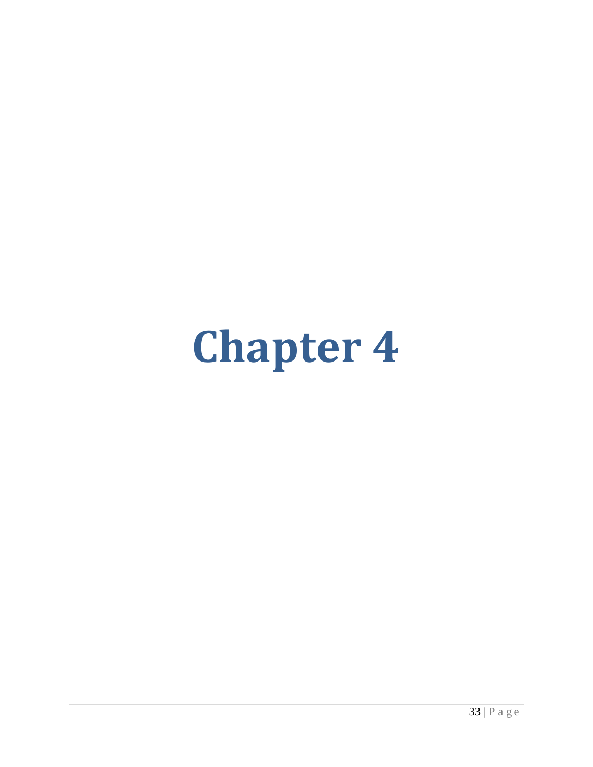# **Chapter 4**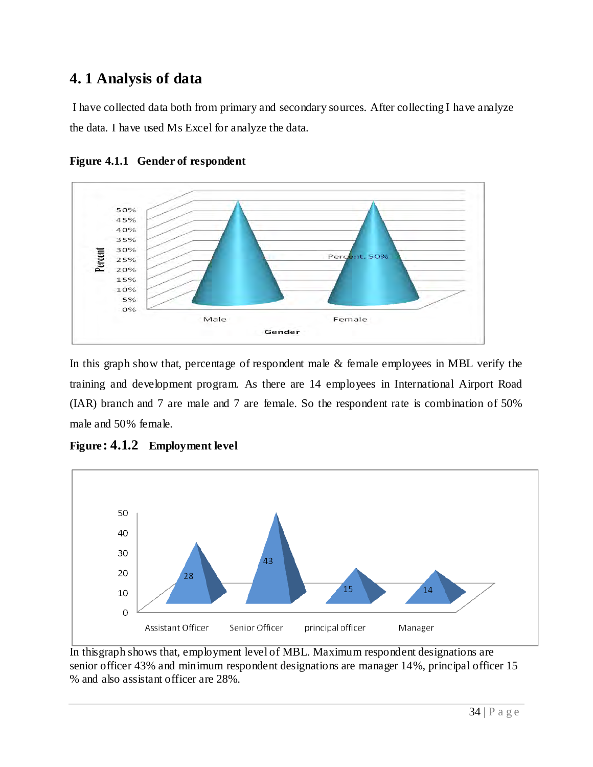# **4. 1 Analysis of data**

I have collected data both from primary and secondary sources. After collecting I have analyze the data. I have used Ms Excel for analyze the data.





In this graph show that, percentage of respondent male & female employees in MBL verify the training and development program. As there are 14 employees in International Airport Road (IAR) branch and 7 are male and 7 are female. So the respondent rate is combination of 50% male and 50% female.



**Figure : 4.1.2 Employment level**

In thisgraph shows that, employment level of MBL. Maximum respondent designations are senior officer 43% and minimum respondent designations are manager 14%, principal officer 15 % and also assistant officer are 28%.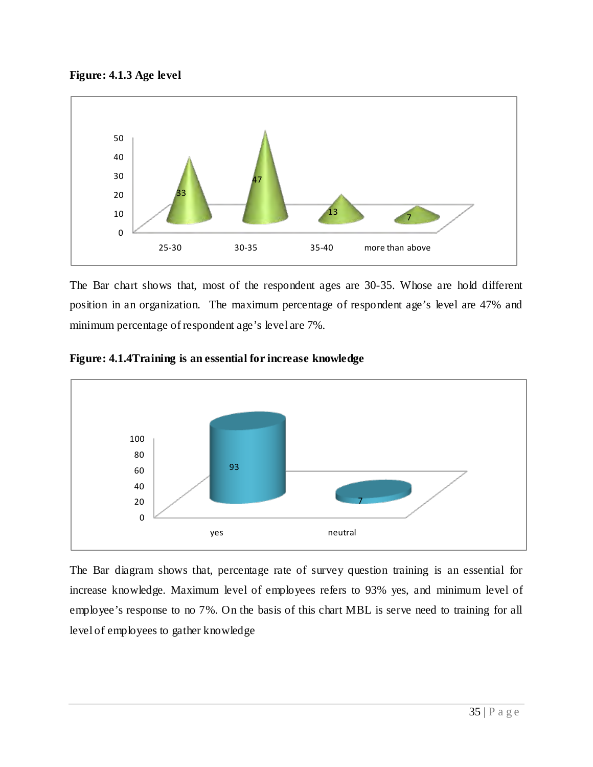



The Bar chart shows that, most of the respondent ages are 30-35. Whose are hold different position in an organization. The maximum percentage of respondent age's level are 47% and minimum percentage of respondent age's level are 7%.



**Figure: 4.1.4Training is an essential for increase knowledge**

The Bar diagram shows that, percentage rate of survey question training is an essential for increase knowledge. Maximum level of employees refers to 93% yes, and minimum level of employee's response to no 7%. On the basis of this chart MBL is serve need to training for all level of employees to gather knowledge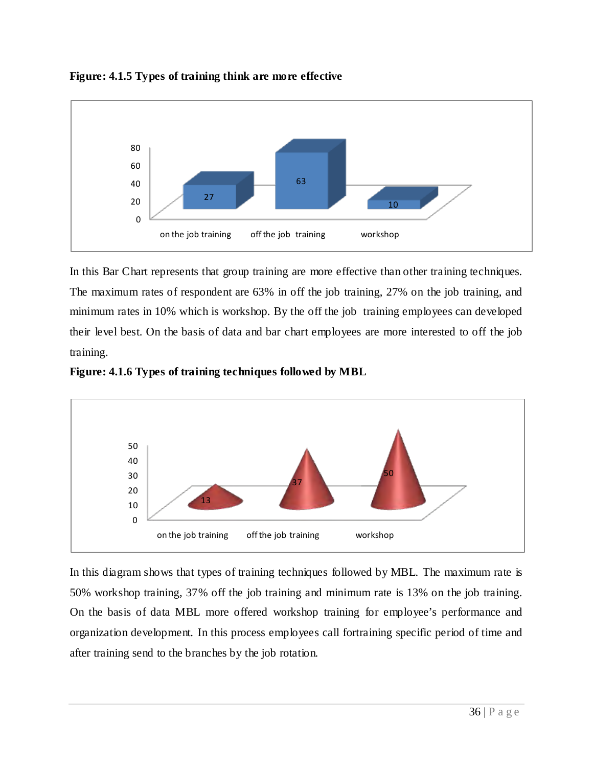

**Figure: 4.1.5 Types of training think are more effective** 

In this Bar Chart represents that group training are more effective than other training techniques. The maximum rates of respondent are 63% in off the job training, 27% on the job training, and minimum rates in 10% which is workshop. By the off the job training employees can developed their level best. On the basis of data and bar chart employees are more interested to off the job training.





In this diagram shows that types of training techniques followed by MBL. The maximum rate is 50% workshop training, 37% off the job training and minimum rate is 13% on the job training. On the basis of data MBL more offered workshop training for employee's performance and organization development. In this process employees call fortraining specific period of time and after training send to the branches by the job rotation.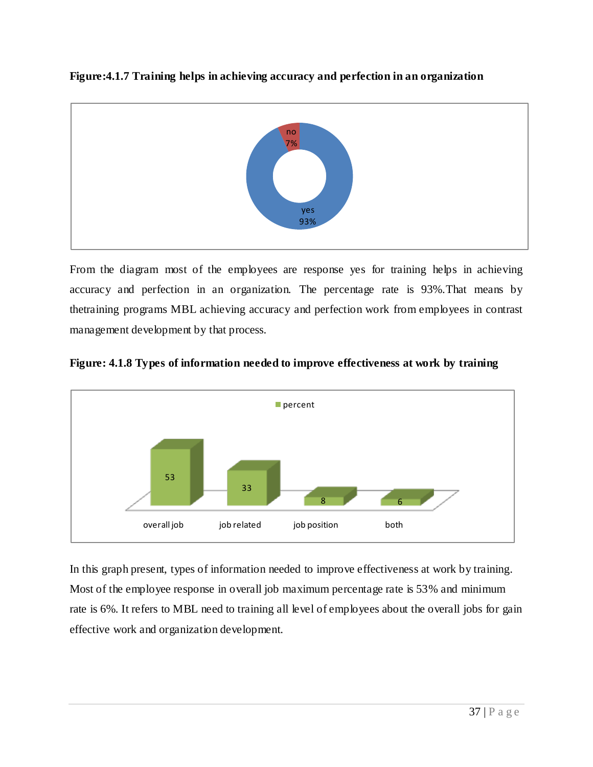

From the diagram most of the employees are response yes for training helps in achieving accuracy and perfection in an organization. The percentage rate is 93%.That means by thetraining programs MBL achieving accuracy and perfection work from employees in contrast management development by that process.



**Figure: 4.1.8 Types of information needed to improve effectiveness at work by training** 

In this graph present, types of information needed to improve effectiveness at work by training. Most of the employee response in overall job maximum percentage rate is 53% and minimum rate is 6%. It refers to MBL need to training all level of employees about the overall jobs for gain effective work and organization development.

#### **Figure:4.1.7 Training helps in achieving accuracy and perfection in an organization**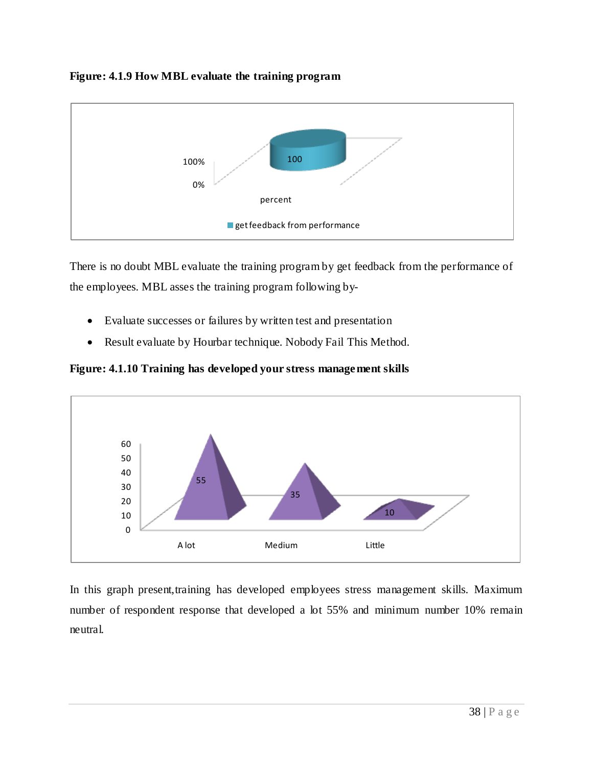



There is no doubt MBL evaluate the training program by get feedback from the performance of the employees. MBL asses the training program following by-

- Evaluate successes or failures by written test and presentation
- Result evaluate by Hourbar technique. Nobody Fail This Method.

**Figure: 4.1.10 Training has developed your stress management skills**



In this graph present, training has developed employees stress management skills. Maximum number of respondent response that developed a lot 55% and minimum number 10% remain neutral.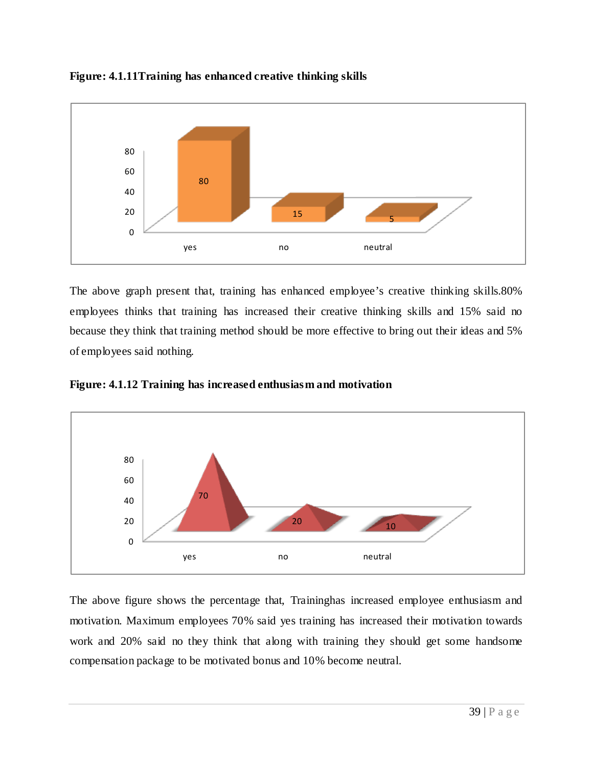



The above graph present that, training has enhanced employee's creative thinking skills.80% employees thinks that training has increased their creative thinking skills and 15% said no because they think that training method should be more effective to bring out their ideas and 5% of employees said nothing.





The above figure shows the percentage that, Traininghas increased employee enthusiasm and motivation. Maximum employees 70% said yes training has increased their motivation towards work and 20% said no they think that along with training they should get some handsome compensation package to be motivated bonus and 10% become neutral.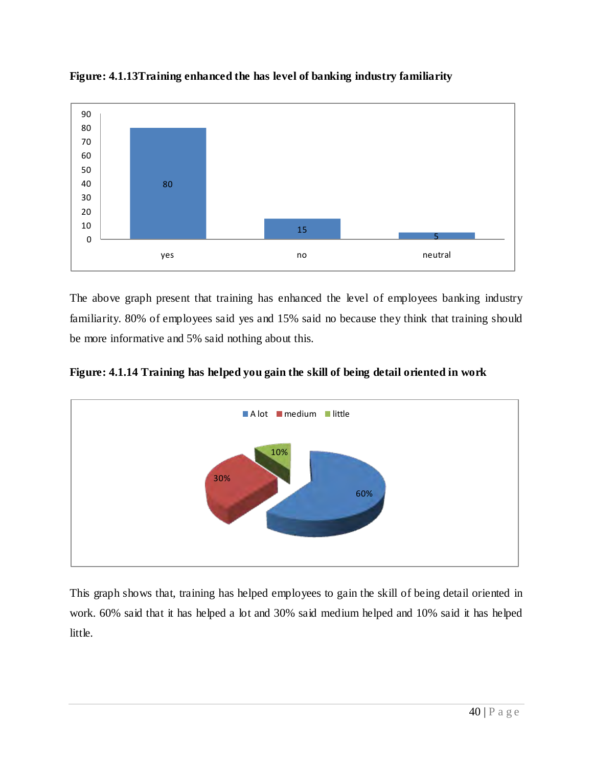

**Figure: 4.1.13Training enhanced the has level of banking industry familiarity**

The above graph present that training has enhanced the level of employees banking industry familiarity. 80% of employees said yes and 15% said no because they think that training should be more informative and 5% said nothing about this.





This graph shows that, training has helped employees to gain the skill of being detail oriented in work. 60% said that it has helped a lot and 30% said medium helped and 10% said it has helped little.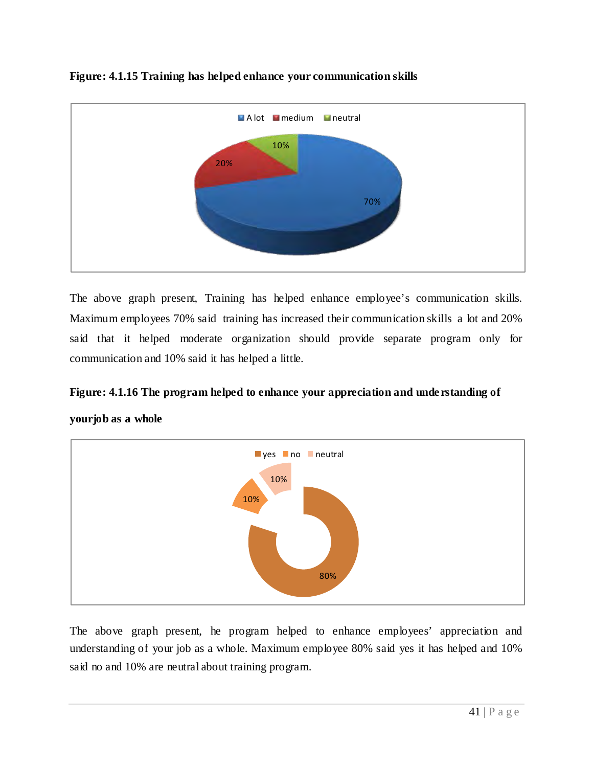

## **Figure: 4.1.15 Training has helped enhance your communication skills**

The above graph present, Training has helped enhance employee's communication skills. Maximum employees 70% said training has increased their communication skills a lot and 20% said that it helped moderate organization should provide separate program only for communication and 10% said it has helped a little.

## **Figure: 4.1.16 The program helped to enhance your appreciation and understanding of**



**yourjob as a whole** 

The above graph present, he program helped to enhance employees' appreciation and understanding of your job as a whole. Maximum employee 80% said yes it has helped and 10% said no and 10% are neutral about training program.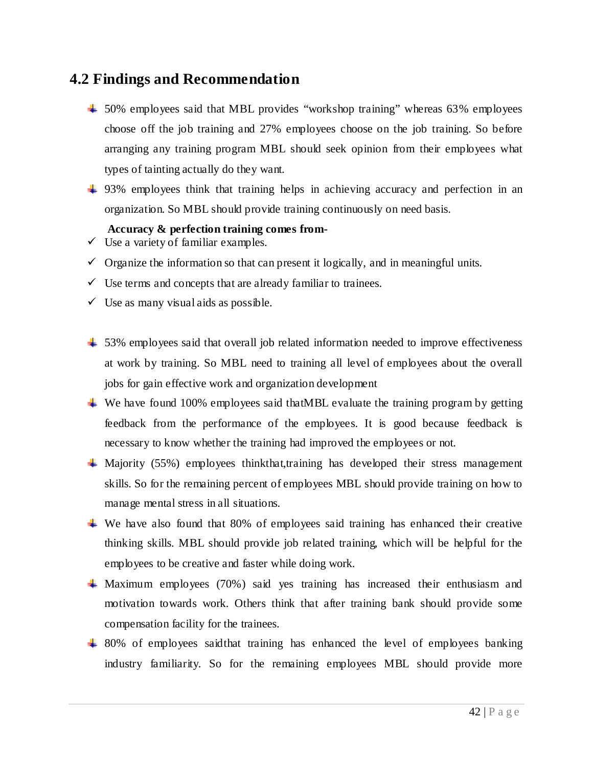## **4.2 Findings and Recommendation**

- $\pm$  50% employees said that MBL provides "workshop training" whereas 63% employees choose off the job training and 27% employees choose on the job training. So before arranging any training program MBL should seek opinion from their employees what types of tainting actually do they want.
- 4 93% employees think that training helps in achieving accuracy and perfection in an organization. So MBL should provide training continuously on need basis.

#### **Accuracy & perfection training comes from-**

- $\checkmark$  Use a variety of familiar examples.
- $\checkmark$  Organize the information so that can present it logically, and in meaningful units.
- $\checkmark$  Use terms and concepts that are already familiar to trainees.
- $\checkmark$  Use as many visual aids as possible.
- $\pm$  53% employees said that overall job related information needed to improve effectiveness at work by training. So MBL need to training all level of employees about the overall jobs for gain effective work and organization development
- $\ddot{\textbf{u}}$  We have found 100% employees said that MBL evaluate the training program by getting feedback from the performance of the employees. It is good because feedback is necessary to know whether the training had improved the employees or not.
- $\overline{\phantom{a}}$  Majority (55%) employees thinkthat,training has developed their stress management skills. So for the remaining percent of employees MBL should provide training on how to manage mental stress in all situations.
- We have also found that 80% of employees said training has enhanced their creative thinking skills. MBL should provide job related training, which will be helpful for the employees to be creative and faster while doing work.
- Maximum employees (70%) said yes training has increased their enthusiasm and motivation towards work. Others think that after training bank should provide some compensation facility for the trainees.
- <sup>1</sup> 80% of employees said that training has enhanced the level of employees banking industry familiarity. So for the remaining employees MBL should provide more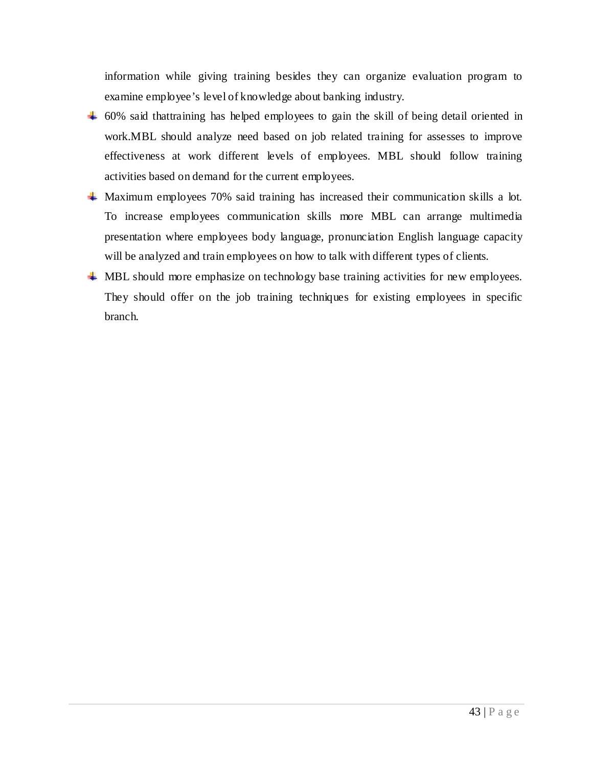information while giving training besides they can organize evaluation program to examine employee's level of knowledge about banking industry.

- $\pm$  60% said thattraining has helped employees to gain the skill of being detail oriented in work.MBL should analyze need based on job related training for assesses to improve effectiveness at work different levels of employees. MBL should follow training activities based on demand for the current employees.
- Maximum employees 70% said training has increased their communication skills a lot. To increase employees communication skills more MBL can arrange multimedia presentation where employees body language, pronunciation English language capacity will be analyzed and train employees on how to talk with different types of clients.
- **WHE** Should more emphasize on technology base training activities for new employees. They should offer on the job training techniques for existing employees in specific branch.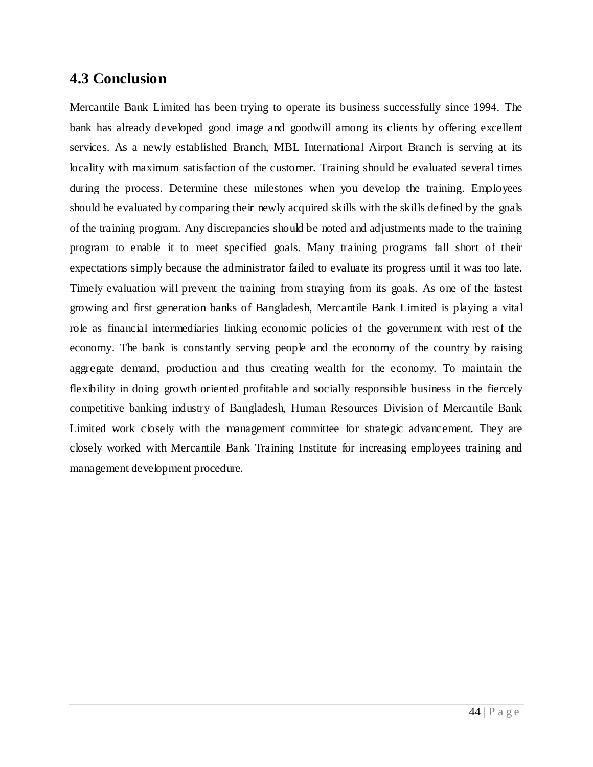## **4.3 Conclusion**

Mercantile Bank Limited has been trying to operate its business successfully since 1994. The bank has already developed good image and goodwill among its clients by offering excellent services. As a newly established Branch, MBL International Airport Branch is serving at its locality with maximum satisfaction of the customer. Training should be evaluated several times during the process. Determine these milestones when you develop the training. Employees should be evaluated by comparing their newly acquired skills with the skills defined by the goals of the training program. Any discrepancies should be noted and adjustments made to the training program to enable it to meet specified goals. Many training programs fall short of their expectations simply because the administrator failed to evaluate its progress until it was too late. Timely evaluation will prevent the training from straying from its goals. As one of the fastest growing and first generation banks of Bangladesh, Mercantile Bank Limited is playing a vital role as financial intermediaries linking economic policies of the government with rest of the economy. The bank is constantly serving people and the economy of the country by raising aggregate demand, production and thus creating wealth for the economy. To maintain the flexibility in doing growth oriented profitable and socially responsible business in the fiercely competitive banking industry of Bangladesh, Human Resources Division of Mercantile Bank Limited work closely with the management committee for strategic advancement. They are closely worked with Mercantile Bank Training Institute for increasing employees training and management development procedure.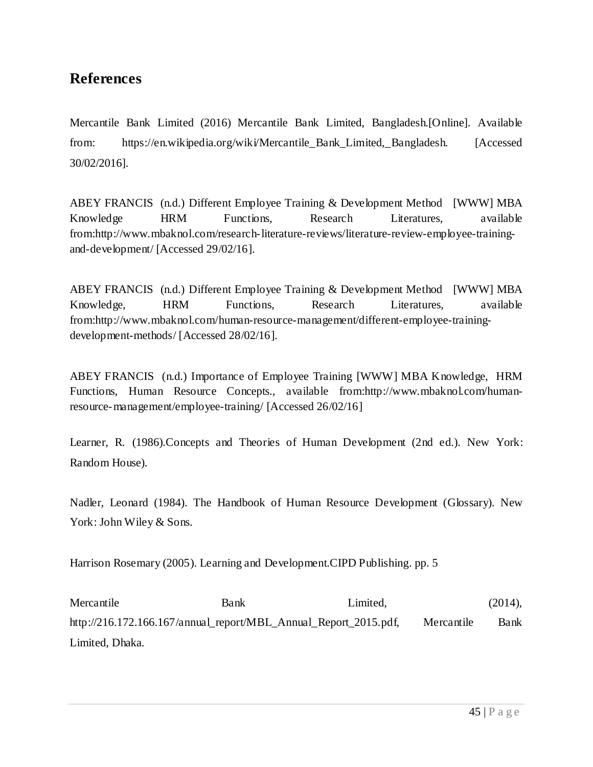# **References**

Mercantile Bank Limited (2016) Mercantile Bank Limited, Bangladesh.[Online]. Available from: https://en.wikipedia.org/wiki/Mercantile\_Bank\_Limited,\_Bangladesh. [Accessed 30/02/2016].

ABEY FRANCIS (n.d.) Different Employee Training & Development Method [WWW] MBA Knowledge HRM Functions, Research Literatures, available from:http://www.mbaknol.com/research-literature-reviews/literature-review-employee-trainingand-development/ [Accessed 29/02/16].

ABEY FRANCIS (n.d.) Different Employee Training & Development Method [WWW] MBA Knowledge, HRM Functions, Research Literatures, available from:http://www.mbaknol.com/human-resource-management/different-employee-trainingdevelopment-methods/ [Accessed 28/02/16].

ABEY FRANCIS (n.d.) Importance of Employee Training [WWW] MBA Knowledge, HRM Functions, Human Resource Concepts., available from:http://www.mbaknol.com/humanresource-management/employee-training/ [Accessed 26/02/16]

Learner, R. (1986).Concepts and Theories of Human Development (2nd ed.). New York: Random House).

Nadler, Leonard (1984). The Handbook of Human Resource Development (Glossary). New York: John Wiley & Sons.

Harrison Rosemary (2005). Learning and Development.CIPD Publishing. pp. 5

Mercantile Bank Bank Limited, (2014), http://216.172.166.167/annual\_report/MBL\_Annual\_Report\_2015.pdf, Mercantile Bank Limited, Dhaka.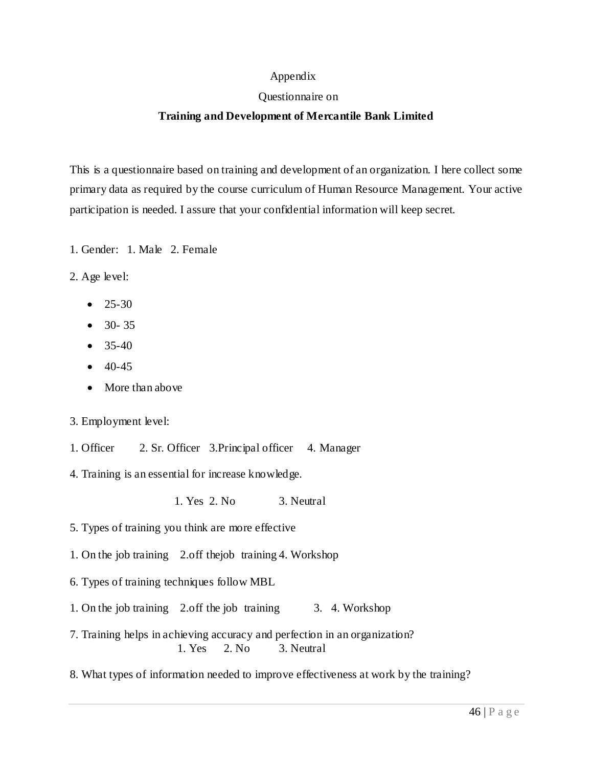#### Appendix

#### Questionnaire on

#### **Training and Development of Mercantile Bank Limited**

This is a questionnaire based on training and development of an organization. I here collect some primary data as required by the course curriculum of Human Resource Management. Your active participation is needed. I assure that your confidential information will keep secret.

- 1. Gender: 1. Male 2. Female
- 2. Age level:
	- $25-30$
	- 30- 35
	- $35-40$
	- $40-45$
	- More than above

3. Employment level:

1. Officer 2. Sr. Officer 3.Principal officer 4. Manager

4. Training is an essential for increase knowledge.

1. Yes 2. No 3. Neutral

- 5. Types of training you think are more effective
- 1. On the job training 2.off thejob training 4. Workshop
- 6. Types of training techniques follow MBL
- 1. On the job training 2.off the job training 3. 4. Workshop
- 7. Training helps in achieving accuracy and perfection in an organization? 1. Yes 2. No 3. Neutral
- 8. What types of information needed to improve effectiveness at work by the training?